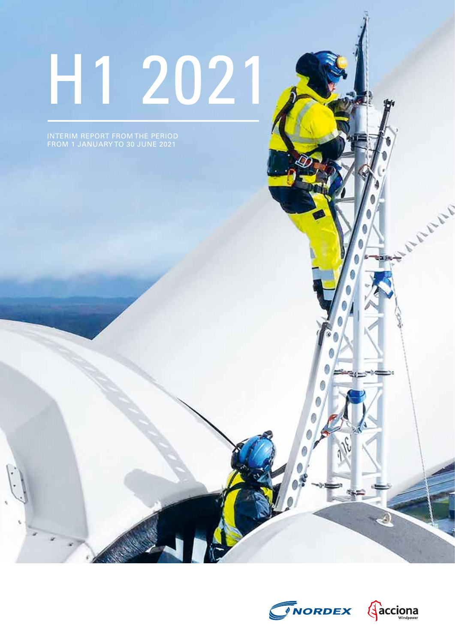# H1 2021

INTERIM REPORT FROM THE PERIOD FROM 1 JANUARY TO 30 JUNE 2021





**Jacks**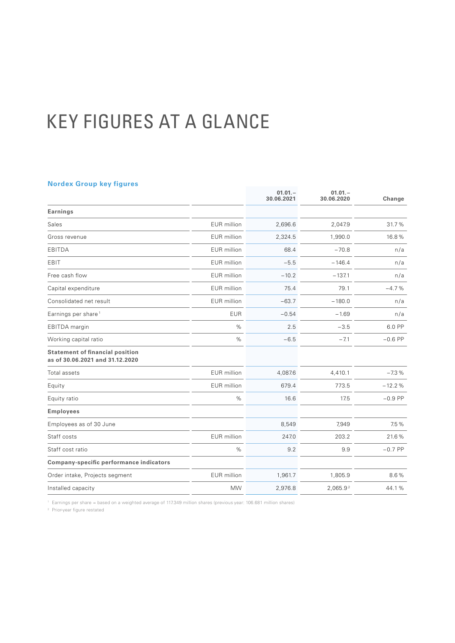# KEY FIGURES AT A GLANCE

# **Nordex Group key figures**

|                                                                           |                    | $01.01 -$<br>30.06.2021 | $01.01 -$<br>30.06.2020 | Change    |
|---------------------------------------------------------------------------|--------------------|-------------------------|-------------------------|-----------|
| <b>Earnings</b>                                                           |                    |                         |                         |           |
| Sales                                                                     | <b>EUR</b> million | 2,696.6                 | 2,047.9                 | 31.7%     |
| Gross revenue                                                             | <b>EUR</b> million | 2,324.5                 | 1,990.0                 | 16.8%     |
| EBITDA                                                                    | <b>EUR</b> million | 68.4                    | $-70.8$                 | n/a       |
| EBIT                                                                      | <b>EUR</b> million | $-5.5$                  | $-146.4$                | n/a       |
| Free cash flow                                                            | <b>EUR</b> million | $-10.2$                 | $-137.1$                | n/a       |
| Capital expenditure                                                       | <b>EUR</b> million | 75.4                    | 79.1                    | $-4.7%$   |
| Consolidated net result                                                   | <b>EUR</b> million | $-63.7$                 | $-180.0$                | n/a       |
| Earnings per share <sup>1</sup>                                           | <b>EUR</b>         | $-0.54$                 | $-1.69$                 | n/a       |
| EBITDA margin                                                             | $\%$               | 2.5                     | $-3.5$                  | 6.0 PP    |
| Working capital ratio                                                     | $\%$               | $-6.5$                  | $-7.1$                  | $-0.6$ PP |
| <b>Statement of financial position</b><br>as of 30.06.2021 and 31.12.2020 |                    |                         |                         |           |
| Total assets                                                              | <b>EUR</b> million | 4,087.6                 | 4,410.1                 | $-7.3%$   |
| Equity                                                                    | <b>EUR</b> million | 679.4                   | 773.5                   | $-12.2%$  |
| Equity ratio                                                              | %                  | 16.6                    | 17.5                    | $-0.9$ PP |
| <b>Employees</b>                                                          |                    |                         |                         |           |
| Employees as of 30 June                                                   |                    | 8,549                   | 7,949                   | 7.5%      |
| Staff costs                                                               | <b>EUR</b> million | 247.0                   | 203.2                   | 21.6%     |
| Staff cost ratio                                                          | $\%$               | 9.2                     | 9.9                     | $-0.7$ PP |
| Company-specific performance indicators                                   |                    |                         |                         |           |
| Order intake, Projects segment                                            | EUR million        | 1,961.7                 | 1,805.9                 | 8.6%      |
| Installed capacity                                                        | <b>MW</b>          | 2,976.8                 | 2,065.92                | 44.1%     |

<sup>1</sup> Earnings per share = based on a weighted average of 117.349 million shares (previous year: 106.681 million shares)

<sup>2</sup> Prior-year figure restated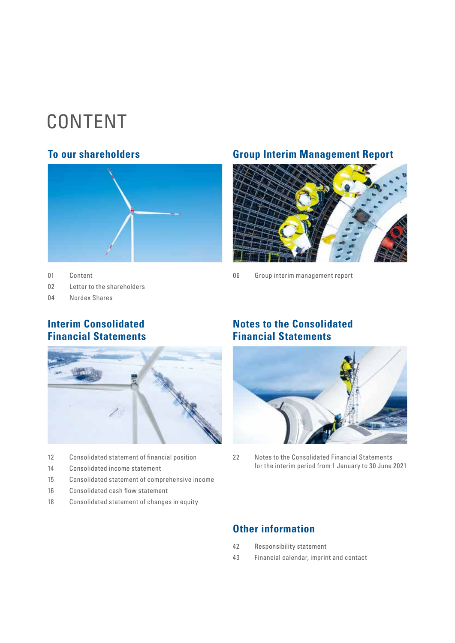# CONTENT



01 Content

02 [Letter to the shareholders](#page-3-0)

04 [Nordex Shares](#page-5-0)

# **To our shareholders Group Interim Management Report**



06 [Group interim management report](#page-7-0) 

# **Interim Consolidated Financial Statements**



- 12 [Consolidated statement of financial position](#page-13-0)
- 14 [Consolidated income statement](#page-15-0)
- 15 [Consolidated statement of comprehensive income](#page-16-0)
- 16 [Consolidated cash flow statement](#page-17-0)
- 18 [Consolidated statement of changes in equity](#page-19-0)

# **Notes to the Consolidated Financial Statements**



[22 Notes to the Consolidated Financial Statements](#page-23-0) [for the interim period from 1](#page-23-0) January to 30 June 2021

# **Other information**

- [42 Responsibility statement](#page-43-0)
- [43 Financial calendar, imprint and contact](#page-44-0)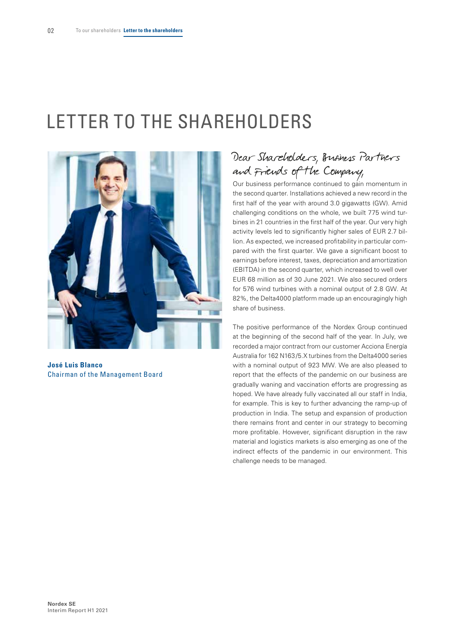# <span id="page-3-0"></span>LETTER TO THE SHAREHOLDERS



**José Luis Blanco** Chairman of the Management Board

# Dear Shareholders, Business Partners and Friends of the Company,

Our business performance continued to gain momentum in the second quarter. Installations achieved a new record in the first half of the year with around 3.0 gigawatts (GW). Amid challenging conditions on the whole, we built 775 wind turbines in 21 countries in the first half of the year. Our very high activity levels led to significantly higher sales of EUR 2.7 billion. As expected, we increased profitability in particular compared with the first quarter. We gave a significant boost to earnings before interest, taxes, depreciation and amortization (EBITDA) in the second quarter, which increased to well over EUR 68 million as of 30 June 2021. We also secured orders for 576 wind turbines with a nominal output of 2.8 GW. At 82%, the Delta4000 platform made up an encouragingly high share of business.

The positive performance of the Nordex Group continued at the beginning of the second half of the year. In July, we recorded a major contract from our customer Acciona Energía Australia for 162 N163/5.X turbines from the Delta4000 series with a nominal output of 923 MW. We are also pleased to report that the effects of the pandemic on our business are gradually waning and vaccination efforts are progressing as hoped. We have already fully vaccinated all our staff in India, for example. This is key to further advancing the ramp-up of production in India. The setup and expansion of production there remains front and center in our strategy to becoming more profitable. However, significant disruption in the raw material and logistics markets is also emerging as one of the indirect effects of the pandemic in our environment. This challenge needs to be managed.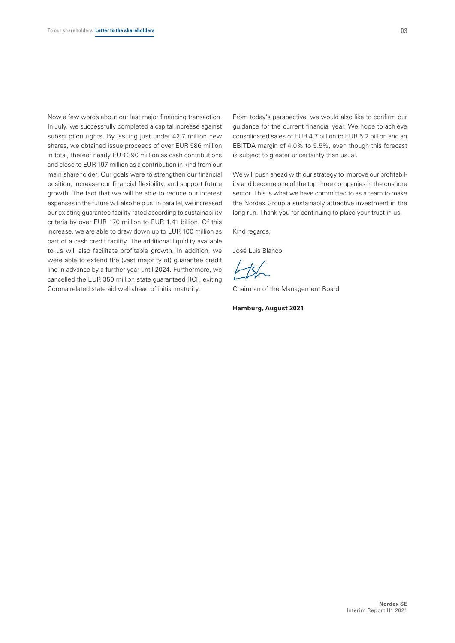Now a few words about our last major financing transaction. In July, we successfully completed a capital increase against subscription rights. By issuing just under 42.7 million new shares, we obtained issue proceeds of over EUR 586 million in total, thereof nearly EUR 390 million as cash contributions and close to EUR 197 million as a contribution in kind from our main shareholder. Our goals were to strengthen our financial position, increase our financial flexibility, and support future growth. The fact that we will be able to reduce our interest expenses in the future will also help us. In parallel, we increased our existing guarantee facility rated according to sustainability criteria by over EUR 170 million to EUR 1.41 billion. Of this increase, we are able to draw down up to EUR 100 million as part of a cash credit facility. The additional liquidity available to us will also facilitate profitable growth. In addition, we were able to extend the (vast majority of) guarantee credit line in advance by a further year until 2024. Furthermore, we cancelled the EUR 350 million state guaranteed RCF, exiting Corona related state aid well ahead of initial maturity.

From today's perspective, we would also like to confirm our guidance for the current financial year. We hope to achieve consolidated sales of EUR 4.7 billion to EUR 5.2 billion and an EBITDA margin of 4.0% to 5.5%, even though this forecast is subject to greater uncertainty than usual.

We will push ahead with our strategy to improve our profitability and become one of the top three companies in the onshore sector. This is what we have committed to as a team to make the Nordex Group a sustainably attractive investment in the long run. Thank you for continuing to place your trust in us.

Kind regards,

José Luis Blanco

Chairman of the Management Board

**Hamburg, August 2021**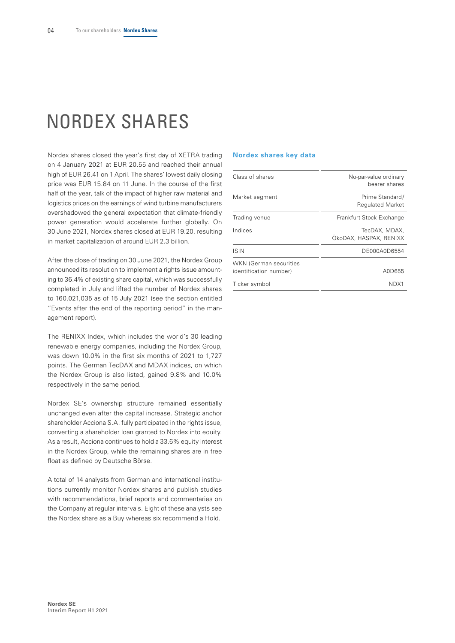# <span id="page-5-0"></span>NORDEX SHARES

Nordex shares closed the year's first day of XETRA trading on 4 January 2021 at EUR 20.55 and reached their annual high of EUR 26.41 on 1 April. The shares' lowest daily closing price was EUR 15.84 on 11 June. In the course of the first half of the year, talk of the impact of higher raw material and logistics prices on the earnings of wind turbine manufacturers overshadowed the general expectation that climate-friendly power generation would accelerate further globally. On 30 June 2021, Nordex shares closed at EUR 19.20, resulting in market capitalization of around EUR 2.3 billion.

After the close of trading on 30 June 2021, the Nordex Group announced its resolution to implement a rights issue amounting to 36.4% of existing share capital, which was successfully completed in July and lifted the number of Nordex shares to 160,021,035 as of 15 July 2021 (see the section entitled "Events after the end of the reporting period" in the management report).

The RENIXX Index, which includes the world's 30 leading renewable energy companies, including the Nordex Group, was down 10.0% in the first six months of 2021 to 1,727 points. The German TecDAX and MDAX indices, on which the Nordex Group is also listed, gained 9.8% and 10.0% respectively in the same period.

Nordex SE's ownership structure remained essentially unchanged even after the capital increase. Strategic anchor shareholder Acciona S.A. fully participated in the rights issue, converting a shareholder loan granted to Nordex into equity. As a result, Acciona continues to hold a 33.6% equity interest in the Nordex Group, while the remaining shares are in free float as defined by Deutsche Börse.

A total of 14 analysts from German and international institutions currently monitor Nordex shares and publish studies with recommendations, brief reports and commentaries on the Company at regular intervals. Eight of these analysts see the Nordex share as a Buy whereas six recommend a Hold.

## **Nordex shares key data**

| Class of shares                                         | No-par-value ordinary<br>bearer shares     |
|---------------------------------------------------------|--------------------------------------------|
| Market segment                                          | Prime Standard/<br><b>Regulated Market</b> |
| Trading venue                                           | Frankfurt Stock Exchange                   |
| Indices                                                 | TecDAX, MDAX,<br>ÖkoDAX, HASPAX, RENIXX    |
| <b>ISIN</b>                                             | DE000A0D6554                               |
| <b>WKN (German securities</b><br>identification number) | A0D655                                     |
| Ticker symbol                                           | NDX1                                       |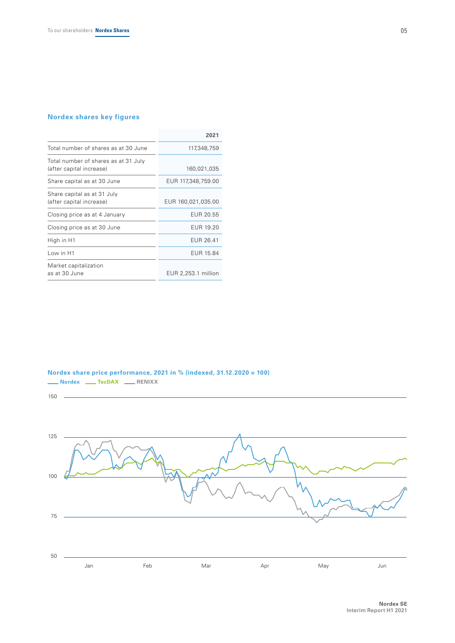# **Nordex shares key figures**

|                                                                  | 2021                |
|------------------------------------------------------------------|---------------------|
| Total number of shares as at 30 June                             | 117,348,759         |
| Total number of shares as at 31 July<br>(after capital increase) | 160,021,035         |
| Share capital as at 30 June                                      | EUR 117,348,759.00  |
| Share capital as at 31 July<br>(after capital increase)          | EUR 160,021,035.00  |
| Closing price as at 4 January                                    | EUR 20.55           |
| Closing price as at 30 June                                      | EUR 19.20           |
| High in H1                                                       | EUR 26.41           |
| Low in H1                                                        | EUR 15.84           |
| Market capitalization<br>as at 30 June                           | EUR 2,253.1 million |

**Nordex share price performance, 2021 in % (indexed, 31.12.2020 = 100) Nordex <u>Leepax</u>** RENIXX

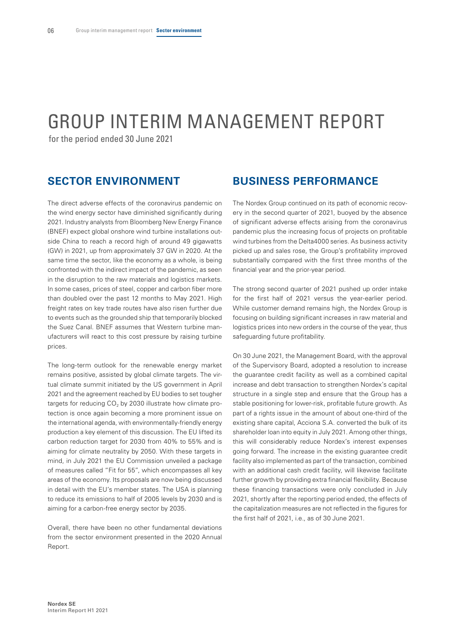# <span id="page-7-0"></span>GROUP INTERIM MANAGEMENT REPORT

for the period ended 30 June 2021

# **SECTOR ENVIRONMENT**

The direct adverse effects of the coronavirus pandemic on the wind energy sector have diminished significantly during 2021. Industry analysts from Bloomberg New Energy Finance (BNEF) expect global onshore wind turbine installations outside China to reach a record high of around 49 gigawatts (GW) in 2021, up from approximately 37 GW in 2020. At the same time the sector, like the economy as a whole, is being confronted with the indirect impact of the pandemic, as seen in the disruption to the raw materials and logistics markets. In some cases, prices of steel, copper and carbon fiber more than doubled over the past 12 months to May 2021. High freight rates on key trade routes have also risen further due to events such as the grounded ship that temporarily blocked the Suez Canal. BNEF assumes that Western turbine manufacturers will react to this cost pressure by raising turbine prices.

The long-term outlook for the renewable energy market remains positive, assisted by global climate targets. The virtual climate summit initiated by the US government in April 2021 and the agreement reached by EU bodies to set tougher targets for reducing  $CO<sub>2</sub>$  by 2030 illustrate how climate protection is once again becoming a more prominent issue on the international agenda, with environmentally-friendly energy production a key element of this discussion. The EU lifted its carbon reduction target for 2030 from 40% to 55% and is aiming for climate neutrality by 2050. With these targets in mind, in July 2021 the EU Commission unveiled a package of measures called "Fit for 55", which encompasses all key areas of the economy. Its proposals are now being discussed in detail with the EU's member states. The USA is planning to reduce its emissions to half of 2005 levels by 2030 and is aiming for a carbon-free energy sector by 2035.

Overall, there have been no other fundamental deviations from the sector environment presented in the 2020 Annual Report.

# **BUSINESS PERFORMANCE**

The Nordex Group continued on its path of economic recovery in the second quarter of 2021, buoyed by the absence of significant adverse effects arising from the coronavirus pandemic plus the increasing focus of projects on profitable wind turbines from the Delta4000 series. As business activity picked up and sales rose, the Group's profitability improved substantially compared with the first three months of the financial year and the prior-year period.

The strong second quarter of 2021 pushed up order intake for the first half of 2021 versus the year-earlier period. While customer demand remains high, the Nordex Group is focusing on building significant increases in raw material and logistics prices into new orders in the course of the year, thus safeguarding future profitability.

On 30 June 2021, the Management Board, with the approval of the Supervisory Board, adopted a resolution to increase the guarantee credit facility as well as a combined capital increase and debt transaction to strengthen Nordex's capital structure in a single step and ensure that the Group has a stable positioning for lower-risk, profitable future growth. As part of a rights issue in the amount of about one-third of the existing share capital, Acciona S.A. converted the bulk of its shareholder loan into equity in July 2021. Among other things, this will considerably reduce Nordex's interest expenses going forward. The increase in the existing guarantee credit facility also implemented as part of the transaction, combined with an additional cash credit facility, will likewise facilitate further growth by providing extra financial flexibility. Because these financing transactions were only concluded in July 2021, shortly after the reporting period ended, the effects of the capitalization measures are not reflected in the figures for the first half of 2021, i.e., as of 30 June 2021.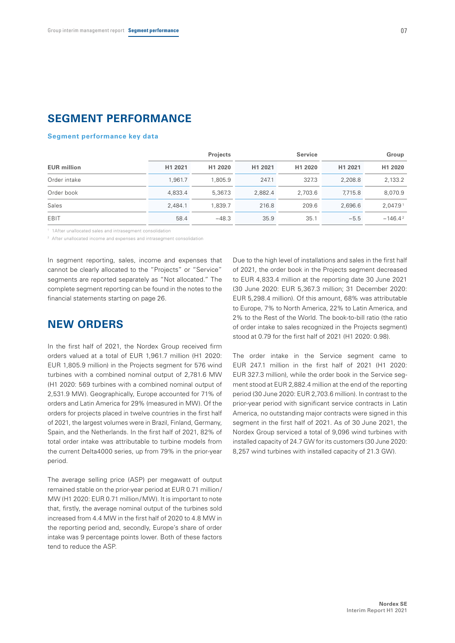# **SEGMENT PERFORMANCE**

## **Segment performance key data**

|                    |         | <b>Projects</b> |         | <b>Service</b> |         | Group      |
|--------------------|---------|-----------------|---------|----------------|---------|------------|
| <b>EUR million</b> | H1 2021 | H1 2020         | H1 2021 | H1 2020        | H1 2021 | H1 2020    |
| Order intake       | 1.961.7 | 1.805.9         | 247.1   | 327.3          | 2.208.8 | 2,133.2    |
| Order book         | 4.833.4 | 5.367.3         | 2.882.4 | 2.703.6        | 7.715.8 | 8.070.9    |
| Sales              | 2.484.1 | 1.839.7         | 216.8   | 209.6          | 2.696.6 | 2.047.91   |
| EBIT               | 58.4    | $-48.3$         | 35.9    | 35.1           | $-5.5$  | $-146.4^2$ |

<sup>1</sup> 1After unallocated sales and intrasegment consolidation

<sup>2</sup> After unallocated income and expenses and intrasegment consolidation

In segment reporting, sales, income and expenses that cannot be clearly allocated to the "Projects" or "Service" segments are reported separately as "Not allocated." The complete segment reporting can be found in the notes to the financial statements starting on page 26.

# **NEW ORDERS**

In the first half of 2021, the Nordex Group received firm orders valued at a total of EUR 1,961.7 million (H1 2020: EUR 1,805.9 million) in the Projects segment for 576 wind turbines with a combined nominal output of 2,781.6 MW (H1 2020: 569 turbines with a combined nominal output of 2,531.9 MW). Geographically, Europe accounted for 71% of orders and Latin America for 29% (measured in MW). Of the orders for projects placed in twelve countries in the first half of 2021, the largest volumes were in Brazil, Finland, Germany, Spain, and the Netherlands. In the first half of 2021, 82% of total order intake was attributable to turbine models from the current Delta4000 series, up from 79% in the prior-year period.

The average selling price (ASP) per megawatt of output remained stable on the prior-year period at EUR 0.71 million/ MW (H1 2020: EUR 0.71 million/MW). It is important to note that, firstly, the average nominal output of the turbines sold increased from 4.4 MW in the first half of 2020 to 4.8 MW in the reporting period and, secondly, Europe's share of order intake was 9 percentage points lower. Both of these factors tend to reduce the ASP.

Due to the high level of installations and sales in the first half of 2021, the order book in the Projects segment decreased to EUR 4,833.4 million at the reporting date 30 June 2021 (30 June 2020: EUR 5,367.3 million; 31 December 2020: EUR 5,298.4 million). Of this amount, 68% was attributable to Europe, 7% to North America, 22% to Latin America, and 2% to the Rest of the World. The book-to-bill ratio (the ratio of order intake to sales recognized in the Projects segment) stood at 0.79 for the first half of 2021 (H1 2020: 0.98).

The order intake in the Service segment came to EUR 247.1 million in the first half of 2021 (H1 2020: EUR 327.3 million), while the order book in the Service segment stood at EUR 2,882.4 million at the end of the reporting period (30 June 2020: EUR 2,703.6 million). In contrast to the prior-year period with significant service contracts in Latin America, no outstanding major contracts were signed in this segment in the first half of 2021. As of 30 June 2021, the Nordex Group serviced a total of 9,096 wind turbines with installed capacity of 24.7 GW for its customers (30 June 2020: 8,257 wind turbines with installed capacity of 21.3 GW).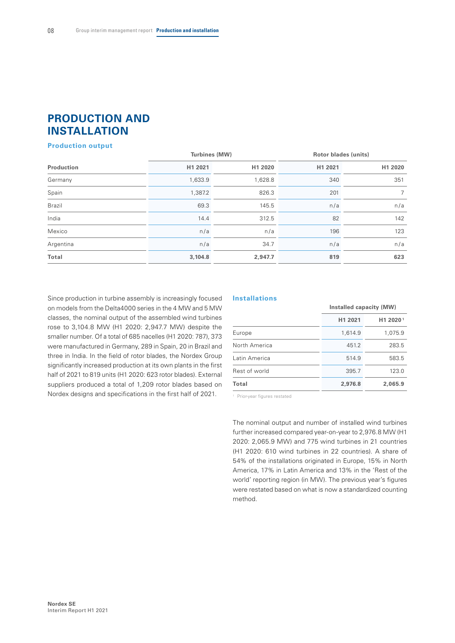# **PRODUCTION AND INSTALLATION**

## **Production output**

|               | Turbines (MW) |         | <b>Rotor blades (units)</b> |         |  |
|---------------|---------------|---------|-----------------------------|---------|--|
| Production    | H1 2021       | H1 2020 | H1 2021                     | H1 2020 |  |
| Germany       | 1,633.9       | 1,628.8 | 340                         | 351     |  |
| Spain         | 1,387.2       | 826.3   | 201                         | 7       |  |
| <b>Brazil</b> | 69.3          | 145.5   | n/a                         | n/a     |  |
| India         | 14.4          | 312.5   | 82                          | 142     |  |
| Mexico        | n/a           | n/a     | 196                         | 123     |  |
| Argentina     | n/a           | 34.7    | n/a                         | n/a     |  |
| Total         | 3,104.8       | 2,947.7 | 819                         | 623     |  |
|               |               |         |                             |         |  |

Since production in turbine assembly is increasingly focused on models from the Delta4000 series in the 4 MW and 5 MW classes, the nominal output of the assembled wind turbines rose to 3,104.8 MW (H1 2020: 2,947.7 MW) despite the smaller number. Of a total of 685 nacelles (H1 2020: 787), 373 were manufactured in Germany, 289 in Spain, 20 in Brazil and three in India. In the field of rotor blades, the Nordex Group significantly increased production at its own plants in the first half of 2021 to 819 units (H1 2020: 623 rotor blades). External suppliers produced a total of 1,209 rotor blades based on Nordex designs and specifications in the first half of 2021.

## **Installations**

|               | Installed capacity (MW) |                      |  |
|---------------|-------------------------|----------------------|--|
|               | H1 2021                 | H1 2020 <sup>1</sup> |  |
| Europe        | 1,614.9                 | 1,075.9              |  |
| North America | 451.2                   | 283.5                |  |
| Latin America | 514.9                   | 583.5                |  |
| Rest of world | 395.7                   | 123.0                |  |
| Total         | 2,976.8                 | 2,065.9              |  |

<sup>1</sup> Prior-year figures restated

The nominal output and number of installed wind turbines further increased compared year-on-year to 2,976.8 MW (H1 2020: 2,065.9 MW) and 775 wind turbines in 21 countries (H1 2020: 610 wind turbines in 22 countries). A share of 54% of the installations originated in Europe, 15% in North America, 17% in Latin America and 13% in the 'Rest of the world' reporting region (in MW). The previous year's figures were restated based on what is now a standardized counting method.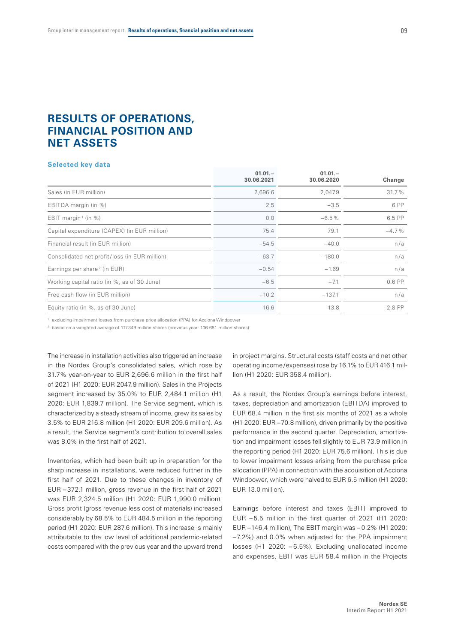# **RESULTS OF OPERATIONS, FINANCIAL POSITION AND NET ASSETS**

#### **Selected key data**

|                                               | $01.01 -$<br>30.06.2021 | $01.01 -$<br>30.06.2020 | Change   |
|-----------------------------------------------|-------------------------|-------------------------|----------|
| Sales (in EUR million)                        | 2,696.6                 | 2,047.9                 | 31.7%    |
| EBITDA margin (in %)                          | 2.5                     | $-3.5$                  | 6 PP     |
| EBIT margin <sup>1</sup> (in %)               | 0.0                     | $-6.5%$                 | 6.5 PP   |
| Capital expenditure (CAPEX) (in EUR million)  | 75.4                    | 79.1                    | $-4.7\%$ |
| Financial result (in EUR million)             | $-54.5$                 | $-40.0$                 | n/a      |
| Consolidated net profit/loss (in EUR million) | $-63.7$                 | $-180.0$                | n/a      |
| Earnings per share <sup>2</sup> (in EUR)      | $-0.54$                 | $-1.69$                 | n/a      |
| Working capital ratio (in %, as of 30 June)   | $-6.5$                  | $-7.1$                  | $0.6$ PP |
| Free cash flow (in EUR million)               | $-10.2$                 | $-137.1$                | n/a      |
| Equity ratio (in %, as of 30 June)            | 16.6                    | 13.8                    | 2.8 PP   |
|                                               |                         |                         |          |

<sup>1</sup> excluding impairment losses from purchase price allocation (PPA) for Acciona Windpower

<sup>2</sup> based on a weighted average of 117.349 million shares (previous year: 106.681 million shares)

The increase in installation activities also triggered an increase in the Nordex Group's consolidated sales, which rose by 31.7% year-on-year to EUR 2,696.6 million in the first half of 2021 (H1 2020: EUR 2047.9 million). Sales in the Projects segment increased by 35.0% to EUR 2,484.1 million (H1 2020: EUR 1,839.7 million). The Service segment, which is characterized by a steady stream of income, grew its sales by 3.5% to EUR 216.8 million (H1 2020: EUR 209.6 million). As a result, the Service segment's contribution to overall sales was 8.0% in the first half of 2021.

Inventories, which had been built up in preparation for the sharp increase in installations, were reduced further in the first half of 2021. Due to these changes in inventory of EUR – 372.1 million, gross revenue in the first half of 2021 was EUR 2,324.5 million (H1 2020: EUR 1,990.0 million). Gross profit (gross revenue less cost of materials) increased considerably by 68.5% to EUR 484.5 million in the reporting period (H1 2020: EUR 287.6 million). This increase is mainly attributable to the low level of additional pandemic-related costs compared with the previous year and the upward trend

in project margins. Structural costs (staff costs and net other operating income/expenses) rose by 16.1% to EUR 416.1 million (H1 2020: EUR 358.4 million).

As a result, the Nordex Group's earnings before interest, taxes, depreciation and amortization (EBITDA) improved to EUR 68.4 million in the first six months of 2021 as a whole (H1 2020: EUR –70.8 million), driven primarily by the positive performance in the second quarter. Depreciation, amortization and impairment losses fell slightly to EUR 73.9 million in the reporting period (H1 2020: EUR 75.6 million). This is due to lower impairment losses arising from the purchase price allocation (PPA) in connection with the acquisition of Acciona Windpower, which were halved to EUR 6.5 million (H1 2020: EUR 13.0 million).

Earnings before interest and taxes (EBIT) improved to EUR – 5.5 million in the first quarter of 2021 (H1 2020: EUR –146.4 million), The EBIT margin was – 0.2% (H1 2020: –7.2%) and 0.0% when adjusted for the PPA impairment losses (H1 2020: – 6.5%). Excluding unallocated income and expenses, EBIT was EUR 58.4 million in the Projects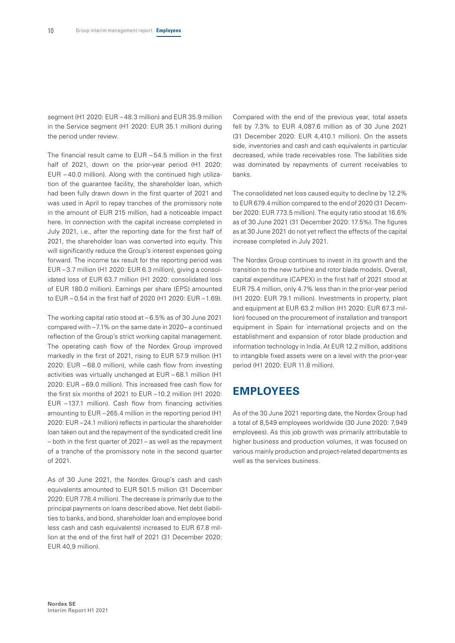segment (H1 2020: EUR – 48.3 million) and EUR 35.9 million in the Service segment (H1 2020: EUR 35.1 million) during the period under review.

The financial result came to EUR – 54.5 million in the first half of 2021, down on the prior-year period (H1 2020: EUR – 40.0 million). Along with the continued high utilization of the guarantee facility, the shareholder loan, which had been fully drawn down in the first quarter of 2021 and was used in April to repay tranches of the promissory note in the amount of EUR 215 million, had a noticeable impact here. In connection with the capital increase completed in July 2021, i.e., after the reporting date for the first half of 2021, the shareholder loan was converted into equity. This will significantly reduce the Group's interest expenses going forward. The income tax result for the reporting period was EUR – 3.7 million (H1 2020: EUR 6.3 million), giving a consolidated loss of EUR 63.7 million (H1 2020: consolidated loss of EUR 180.0 million). Earnings per share (EPS) amounted to EUR – 0.54 in the first half of 2020 (H1 2020: EUR –1.69).

The working capital ratio stood at – 6.5% as of 30 June 2021 compared with –7.1% on the same date in 2020– a continued reflection of the Group's strict working capital management. The operating cash flow of the Nordex Group improved markedly in the first of 2021, rising to EUR 57.9 million (H1 2020: EUR – 68.0 million), while cash flow from investing activities was virtually unchanged at EUR – 68.1 million (H1 2020: EUR – 69.0 million). This increased free cash flow for the first six months of 2021 to EUR –10.2 million (H1 2020: EUR –137.1 million). Cash flow from financing activities amounting to EUR –265.4 million in the reporting period (H1 2020: EUR –24.1 million) reflects in particular the shareholder loan taken out and the repayment of the syndicated credit line – both in the first quarter of 2021– as well as the repayment of a tranche of the promissory note in the second quarter of 2021.

As of 30 June 2021, the Nordex Group's cash and cash equivalents amounted to EUR 501.5 million (31 December 2020: EUR 778.4 million). The decrease is primarily due to the principal payments on loans described above. Net debt (liabilities to banks, and bond, shareholder loan and employee bond less cash and cash equivalents) increased to EUR 67.8 million at the end of the first half of 2021 (31 December 2020: EUR 40,9 million).

Compared with the end of the previous year, total assets fell by 7.3% to EUR 4,087.6 million as of 30 June 2021 (31 December 2020: EUR 4,410.1 million). On the assets side, inventories and cash and cash equivalents in particular decreased, while trade receivables rose. The liabilities side was dominated by repayments of current receivables to banks.

The consolidated net loss caused equity to decline by 12.2% to EUR 679.4 million compared to the end of 2020 (31 December 2020: EUR 773.5 million). The equity ratio stood at 16.6% as of 30 June 2021 (31 December 2020: 17.5%). The figures as at 30 June 2021 do not yet reflect the effects of the capital increase completed in July 2021.

The Nordex Group continues to invest in its growth and the transition to the new turbine and rotor blade models. Overall, capital expenditure (CAPEX) in the first half of 2021 stood at EUR 75.4 million, only 4.7% less than in the prior-year period (H1 2020: EUR 79.1 million). Investments in property, plant and equipment at EUR 63.2 million (H1 2020: EUR 67.3 million) focused on the procurement of installation and transport equipment in Spain for international projects and on the establishment and expansion of rotor blade production and information technology in India. At EUR 12.2 million, additions to intangible fixed assets were on a level with the prior-year period (H1 2020: EUR 11.8 million).

# **EMPLOYEES**

As of the 30 June 2021 reporting date, the Nordex Group had a total of 8,549 employees worldwide (30 June 2020: 7,949 employees). As this job growth was primarily attributable to higher business and production volumes, it was focused on various mainly production and project-related departments as well as the services business.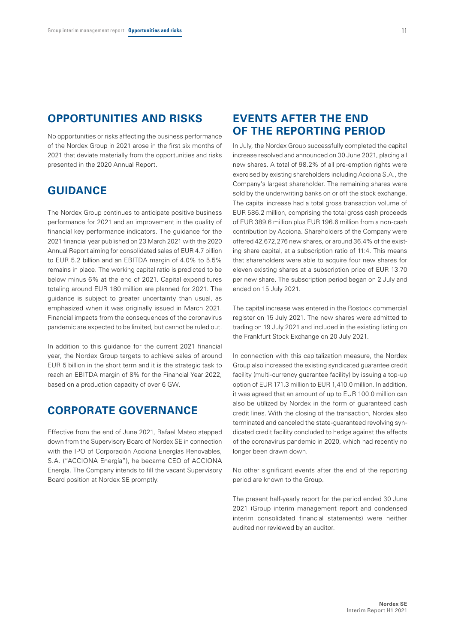# **OPPORTUNITIES AND RISKS**

No opportunities or risks affecting the business performance of the Nordex Group in 2021 arose in the first six months of 2021 that deviate materially from the opportunities and risks presented in the 2020 Annual Report.

# **GUIDANCE**

The Nordex Group continues to anticipate positive business performance for 2021 and an improvement in the quality of financial key performance indicators. The guidance for the 2021 financial year published on 23 March 2021 with the 2020 Annual Report aiming for consolidated sales of EUR 4.7 billion to EUR 5.2 billion and an EBITDA margin of 4.0% to 5.5% remains in place. The working capital ratio is predicted to be below minus 6% at the end of 2021. Capital expenditures totaling around EUR 180 million are planned for 2021. The guidance is subject to greater uncertainty than usual, as emphasized when it was originally issued in March 2021. Financial impacts from the consequences of the coronavirus pandemic are expected to be limited, but cannot be ruled out.

In addition to this guidance for the current 2021 financial year, the Nordex Group targets to achieve sales of around EUR 5 billion in the short term and it is the strategic task to reach an EBITDA margin of 8% for the Financial Year 2022, based on a production capacity of over 6 GW.

# **CORPORATE GOVERNANCE**

Effective from the end of June 2021, Rafael Mateo stepped down from the Supervisory Board of Nordex SE in connection with the IPO of Corporación Acciona Energías Renovables, S.A. ("ACCIONA Energía"), he became CEO of ACCIONA Energía. The Company intends to fill the vacant Supervisory Board position at Nordex SE promptly.

# **EVENTS AFTER THE END OF THE REPORTING PERIOD**

In July, the Nordex Group successfully completed the capital increase resolved and announced on 30 June 2021, placing all new shares. A total of 98.2% of all pre-emption rights were exercised by existing shareholders including Acciona S.A., the Company's largest shareholder. The remaining shares were sold by the underwriting banks on or off the stock exchange. The capital increase had a total gross transaction volume of EUR 586.2 million, comprising the total gross cash proceeds of EUR 389.6 million plus EUR 196.6 million from a non-cash contribution by Acciona. Shareholders of the Company were offered 42,672,276 new shares, or around 36.4% of the existing share capital, at a subscription ratio of 11:4. This means that shareholders were able to acquire four new shares for eleven existing shares at a subscription price of EUR 13.70 per new share. The subscription period began on 2 July and ended on 15 July 2021.

The capital increase was entered in the Rostock commercial register on 15 July 2021. The new shares were admitted to trading on 19 July 2021 and included in the existing listing on the Frankfurt Stock Exchange on 20 July 2021.

In connection with this capitalization measure, the Nordex Group also increased the existing syndicated guarantee credit facility (multi-currency guarantee facility) by issuing a top-up option of EUR 171.3 million to EUR 1,410.0 million. In addition, it was agreed that an amount of up to EUR 100.0 million can also be utilized by Nordex in the form of guaranteed cash credit lines. With the closing of the transaction, Nordex also terminated and canceled the state-guaranteed revolving syndicated credit facility concluded to hedge against the effects of the coronavirus pandemic in 2020, which had recently no longer been drawn down.

No other significant events after the end of the reporting period are known to the Group.

The present half-yearly report for the period ended 30 June 2021 (Group interim management report and condensed interim consolidated financial statements) were neither audited nor reviewed by an auditor.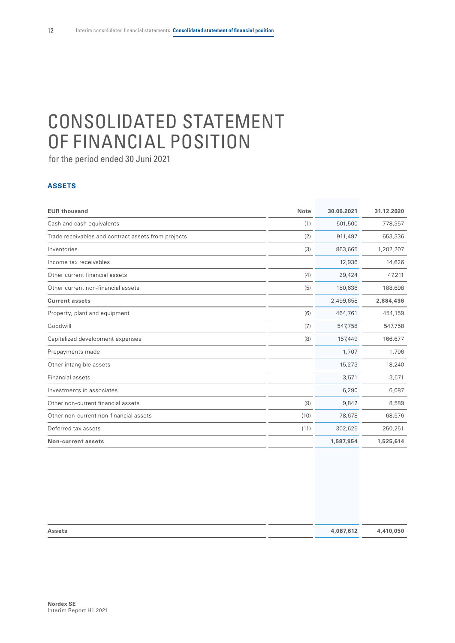# <span id="page-13-0"></span>CONSOLIDATED STATEMENT OF FINANCIAL POSITION

for the period ended 30 Juni 2021

# **ASSETS**

| <b>EUR thousand</b>                                 | <b>Note</b> | 30.06.2021 | 31.12.2020 |
|-----------------------------------------------------|-------------|------------|------------|
| Cash and cash equivalents                           | (1)         | 501,500    | 778,357    |
| Trade receivables and contract assets from projects | (2)         | 911,497    | 653,336    |
| Inventories                                         | (3)         | 863,665    | 1,202,207  |
| Income tax receivables                              |             | 12,936     | 14,626     |
| Other current financial assets                      | (4)         | 29,424     | 47,211     |
| Other current non-financial assets                  | (5)         | 180,636    | 188,698    |
| <b>Current assets</b>                               |             | 2,499,658  | 2,884,436  |
| Property, plant and equipment                       | (6)         | 464,761    | 454,159    |
| Goodwill                                            | (7)         | 547,758    | 547,758    |
| Capitalized development expenses                    | (8)         | 157,449    | 166,677    |
| Prepayments made                                    |             | 1,707      | 1,706      |
| Other intangible assets                             |             | 15,273     | 18,240     |
| Financial assets                                    |             | 3,571      | 3,571      |
| Investments in associates                           |             | 6,290      | 6,087      |
| Other non-current financial assets                  | (9)         | 9,842      | 8,589      |
| Other non-current non-financial assets              | (10)        | 78,678     | 68,576     |
| Deferred tax assets                                 | (11)        | 302,625    | 250,251    |
| <b>Non-current assets</b>                           |             | 1,587,954  | 1,525,614  |

| <b>Assets</b> | 4,087,612 | 4,410,050 |
|---------------|-----------|-----------|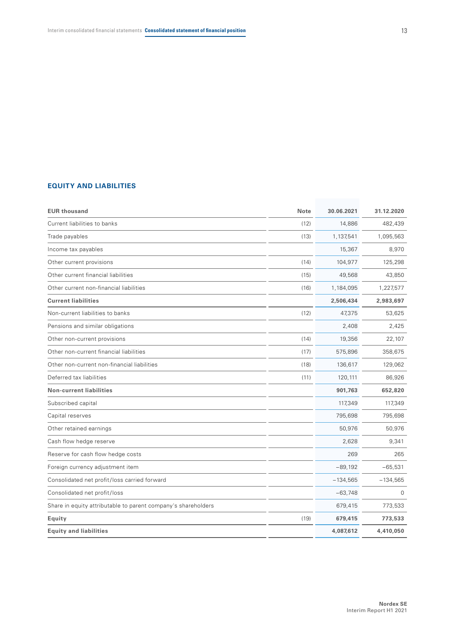# **EQUITY AND LIABILITIES**

| <b>EUR thousand</b>                                           | <b>Note</b> | 30.06.2021 | 31.12.2020 |
|---------------------------------------------------------------|-------------|------------|------------|
| Current liabilities to banks                                  | (12)        | 14,886     | 482,439    |
| Trade payables                                                | (13)        | 1,137,541  | 1,095,563  |
| Income tax payables                                           |             | 15,367     | 8,970      |
| Other current provisions                                      | (14)        | 104,977    | 125,298    |
| Other current financial liabilities                           | (15)        | 49,568     | 43,850     |
| Other current non-financial liabilities                       | (16)        | 1,184,095  | 1,227,577  |
| <b>Current liabilities</b>                                    |             | 2,506,434  | 2,983,697  |
| Non-current liabilities to banks                              | (12)        | 47,375     | 53,625     |
| Pensions and similar obligations                              |             | 2,408      | 2,425      |
| Other non-current provisions                                  | (14)        | 19,356     | 22,107     |
| Other non-current financial liabilities                       | (17)        | 575,896    | 358,675    |
| Other non-current non-financial liabilities                   | (18)        | 136,617    | 129,062    |
| Deferred tax liabilities                                      | (11)        | 120,111    | 86,926     |
| <b>Non-current liabilities</b>                                |             | 901,763    | 652,820    |
| Subscribed capital                                            |             | 117,349    | 117,349    |
| Capital reserves                                              |             | 795,698    | 795,698    |
| Other retained earnings                                       |             | 50,976     | 50,976     |
| Cash flow hedge reserve                                       |             | 2,628      | 9,341      |
| Reserve for cash flow hedge costs                             |             | 269        | 265        |
| Foreign currency adjustment item                              |             | $-89,192$  | $-65,531$  |
| Consolidated net profit/loss carried forward                  |             | $-134,565$ | $-134,565$ |
| Consolidated net profit/loss                                  |             | $-63,748$  | $\Omega$   |
| Share in equity attributable to parent company's shareholders |             | 679,415    | 773,533    |
| Equity                                                        | (19)        | 679,415    | 773,533    |
| <b>Equity and liabilities</b>                                 |             | 4,087,612  | 4,410,050  |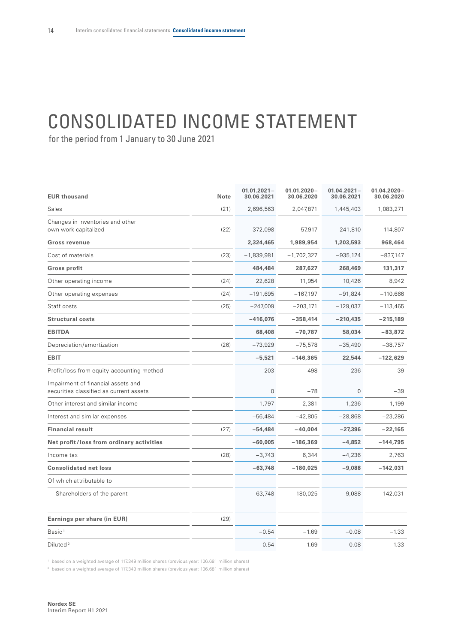# <span id="page-15-0"></span>CONSOLIDATED INCOME STATEMENT

for the period from 1 January to 30 June 2021

| <b>EUR thousand</b>                                                           | <b>Note</b> | $01.01.2021 -$<br>30.06.2021 | $01.01.2020 -$<br>30.06.2020 | $01.04.2021 -$<br>30.06.2021 | $01.04.2020 -$<br>30.06.2020 |
|-------------------------------------------------------------------------------|-------------|------------------------------|------------------------------|------------------------------|------------------------------|
| Sales                                                                         | (21)        | 2,696,563                    | 2,047,871                    | 1,445,403                    | 1,083,271                    |
| Changes in inventories and other<br>own work capitalized                      | (22)        | $-372,098$                   | $-57.917$                    | $-241.810$                   | $-114,807$                   |
| <b>Gross revenue</b>                                                          |             | 2,324,465                    | 1,989,954                    | 1,203,593                    | 968,464                      |
| Cost of materials                                                             | (23)        | $-1,839,981$                 | $-1,702,327$                 | $-935,124$                   | $-837,147$                   |
| <b>Gross profit</b>                                                           |             | 484,484                      | 287,627                      | 268,469                      | 131,317                      |
| Other operating income                                                        | (24)        | 22,628                       | 11,954                       | 10,426                       | 8,942                        |
| Other operating expenses                                                      | (24)        | $-191,695$                   | $-167,197$                   | $-91,824$                    | $-110,666$                   |
| Staff costs                                                                   | (25)        | $-247,009$                   | $-203,171$                   | $-129,037$                   | $-113,465$                   |
| <b>Structural costs</b>                                                       |             | $-416,076$                   | $-358,414$                   | $-210,435$                   | $-215,189$                   |
| <b>EBITDA</b>                                                                 |             | 68,408                       | $-70,787$                    | 58,034                       | $-83,872$                    |
| Depreciation/amortization                                                     | (26)        | -73,929                      | $-75,578$                    | $-35,490$                    | $-38,757$                    |
| <b>EBIT</b>                                                                   |             | $-5,521$                     | $-146,365$                   | 22,544                       | $-122,629$                   |
| Profit/loss from equity-accounting method                                     |             | 203                          | 498                          | 236                          | $-39$                        |
| Impairment of financial assets and<br>securities classified as current assets |             | $\overline{0}$               | $-78$                        | 0                            | $-39$                        |
| Other interest and similar income                                             |             | 1.797                        | 2,381                        | 1,236                        | 1,199                        |
| Interest and similar expenses                                                 |             | $-56,484$                    | $-42,805$                    | $-28,868$                    | $-23,286$                    |
| <b>Financial result</b>                                                       | (27)        | -54,484                      | $-40,004$                    | $-27,396$                    | $-22,165$                    |
| Net profit/loss from ordinary activities                                      |             | $-60.005$                    | $-186,369$                   | $-4.852$                     | $-144,795$                   |
| Income tax                                                                    | (28)        | $-3,743$                     | 6,344                        | $-4,236$                     | 2,763                        |
| <b>Consolidated net loss</b>                                                  |             | $-63,748$                    | $-180,025$                   | $-9,088$                     | $-142,031$                   |
| Of which attributable to                                                      |             |                              |                              |                              |                              |
| Shareholders of the parent                                                    |             | $-63,748$                    | $-180,025$                   | $-9,088$                     | $-142,031$                   |
| Earnings per share (in EUR)                                                   | (29)        |                              |                              |                              |                              |
| Basic <sup>1</sup>                                                            |             | $-0.54$                      | $-1.69$                      | $-0.08$                      | $-1.33$                      |
| Diluted <sup>2</sup>                                                          |             | $-0.54$                      | $-1.69$                      | $-0.08$                      | $-1.33$                      |

<sup>1</sup> based on a weighted average of 117.349 million shares (previous year: 106.681 million shares)

<sup>2</sup> based on a weighted average of 117.349 million shares (previous year: 106.681 million shares)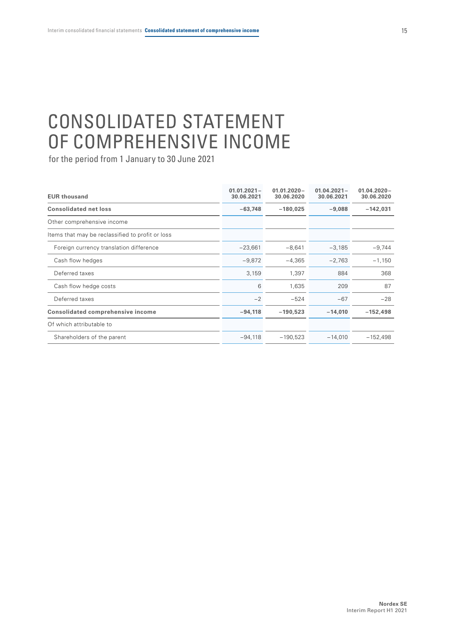# <span id="page-16-0"></span>CONSOLIDATED STATEMENT OF COMPREHENSIVE INCOME

| <b>EUR thousand</b>                              | $01.01.2021 -$<br>30.06.2021 | $01.01.2020 -$<br>30.06.2020 | $01.04.2021 -$<br>30.06.2021 | $01.04.2020 -$<br>30.06.2020 |
|--------------------------------------------------|------------------------------|------------------------------|------------------------------|------------------------------|
| <b>Consolidated net loss</b>                     | $-63,748$                    | $-180,025$                   | $-9,088$                     | $-142,031$                   |
| Other comprehensive income                       |                              |                              |                              |                              |
| Items that may be reclassified to profit or loss |                              |                              |                              |                              |
| Foreign currency translation difference          | $-23,661$                    | $-8,641$                     | $-3,185$                     | $-9,744$                     |
| Cash flow hedges                                 | $-9,872$                     | $-4,365$                     | $-2,763$                     | $-1,150$                     |
| Deferred taxes                                   | 3,159                        | 1,397                        | 884                          | 368                          |
| Cash flow hedge costs                            | 6                            | 1,635                        | 209                          | 87                           |
| Deferred taxes                                   | $-2$                         | $-524$                       | $-67$                        | $-28$                        |
| <b>Consolidated comprehensive income</b>         | $-94,118$                    | $-190,523$                   | $-14,010$                    | $-152,498$                   |
| Of which attributable to                         |                              |                              |                              |                              |
| Shareholders of the parent                       | $-94,118$                    | $-190,523$                   | $-14,010$                    | $-152,498$                   |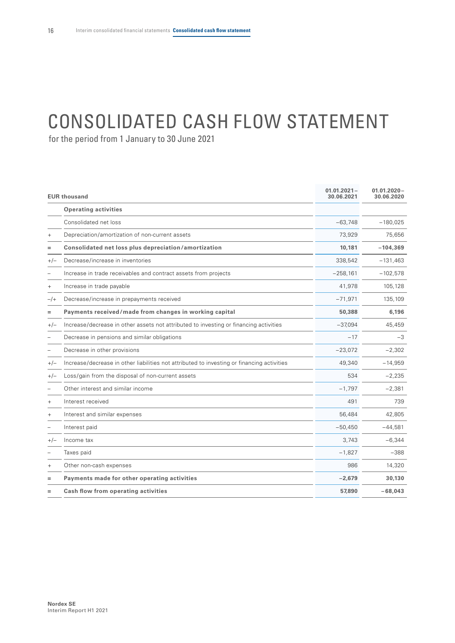# <span id="page-17-0"></span>CONSOLIDATED CASH FLOW STATEMENT

|        | <b>EUR thousand</b>                                                                        | $01.01.2021 -$<br>30.06.2021 | $01.01.2020 -$<br>30.06.2020 |
|--------|--------------------------------------------------------------------------------------------|------------------------------|------------------------------|
|        | <b>Operating activities</b>                                                                |                              |                              |
|        | Consolidated net loss                                                                      | $-63,748$                    | $-180,025$                   |
| $^{+}$ | Depreciation/amortization of non-current assets                                            | 73,929                       | 75,656                       |
|        | Consolidated net loss plus depreciation/amortization                                       | 10,181                       | $-104,369$                   |
| $+/-$  | Decrease/increase in inventories                                                           | 338,542                      | $-131,463$                   |
|        | Increase in trade receivables and contract assets from projects                            | $-258,161$                   | $-102,578$                   |
| $^{+}$ | Increase in trade payable                                                                  | 41,978                       | 105,128                      |
| $-/+$  | Decrease/increase in prepayments received                                                  | $-71,971$                    | 135,109                      |
| $=$    | Payments received/made from changes in working capital                                     | 50,388                       | 6,196                        |
| $+/-$  | Increase/decrease in other assets not attributed to investing or financing activities      | $-37.094$                    | 45,459                       |
|        | Decrease in pensions and similar obligations                                               | $-17$                        | $-3$                         |
|        | Decrease in other provisions                                                               | $-23,072$                    | $-2,302$                     |
| $+/-$  | Increase/decrease in other liabilities not attributed to investing or financing activities | 49,340                       | $-14,959$                    |
| $+/-$  | Loss/gain from the disposal of non-current assets                                          | 534                          | $-2,235$                     |
|        | Other interest and similar income                                                          | $-1,797$                     | $-2,381$                     |
| $+$    | Interest received                                                                          | 491                          | 739                          |
|        | Interest and similar expenses                                                              | 56,484                       | 42,805                       |
|        | Interest paid                                                                              | $-50,450$                    | $-44,581$                    |
| $+/-$  | Income tax                                                                                 | 3,743                        | $-6,344$                     |
|        | Taxes paid                                                                                 | $-1,827$                     | $-388$                       |
| $^{+}$ | Other non-cash expenses                                                                    | 986                          | 14,320                       |
| $=$    | Payments made for other operating activities                                               | $-2,679$                     | 30,130                       |
|        | Cash flow from operating activities                                                        | 57,890                       | $-68,043$                    |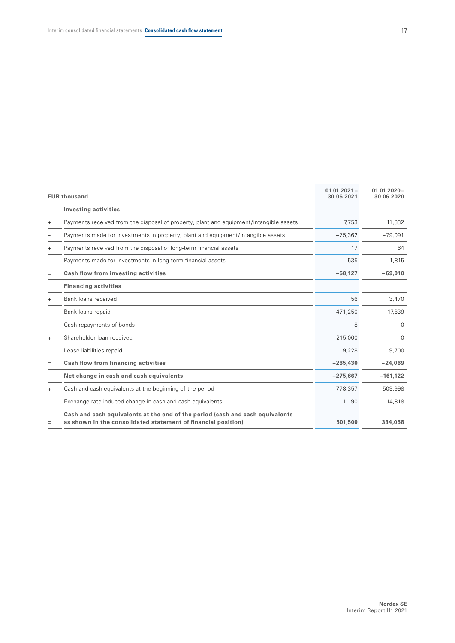|           | <b>EUR thousand</b>                                                                                                                            | $01.01.2021 -$<br>30.06.2021 | $01.01.2020 -$<br>30.06.2020 |
|-----------|------------------------------------------------------------------------------------------------------------------------------------------------|------------------------------|------------------------------|
|           | <b>Investing activities</b>                                                                                                                    |                              |                              |
| $^{+}$    | Payments received from the disposal of property, plant and equipment/intangible assets                                                         | 7,753                        | 11,832                       |
|           | Payments made for investments in property, plant and equipment/intangible assets                                                               | $-75,362$                    | $-79,091$                    |
| $^{+}$    | Payments received from the disposal of long-term financial assets                                                                              | 17                           | 64                           |
|           | Payments made for investments in long-term financial assets                                                                                    | $-535$                       | $-1,815$                     |
| $=$       | Cash flow from investing activities                                                                                                            | $-68,127$                    | $-69.010$                    |
|           | <b>Financing activities</b>                                                                                                                    |                              |                              |
| $\ddot{}$ | Bank loans received                                                                                                                            | 56                           | 3,470                        |
|           | Bank loans repaid                                                                                                                              | $-471,250$                   | $-17,839$                    |
|           | Cash repayments of bonds                                                                                                                       | $-8$                         | $\Omega$                     |
| $^{+}$    | Shareholder loan received                                                                                                                      | 215,000                      | $\Omega$                     |
|           | Lease liabilities repaid                                                                                                                       | $-9,228$                     | $-9,700$                     |
| $=$       | Cash flow from financing activities                                                                                                            | $-265,430$                   | $-24,069$                    |
|           | Net change in cash and cash equivalents                                                                                                        | $-275,667$                   | $-161,122$                   |
| $^{+}$    | Cash and cash equivalents at the beginning of the period                                                                                       | 778,357                      | 509,998                      |
|           | Exchange rate-induced change in cash and cash equivalents                                                                                      | $-1,190$                     | $-14,818$                    |
| Ξ         | Cash and cash equivalents at the end of the period (cash and cash equivalents<br>as shown in the consolidated statement of financial position) | 501,500                      | 334,058                      |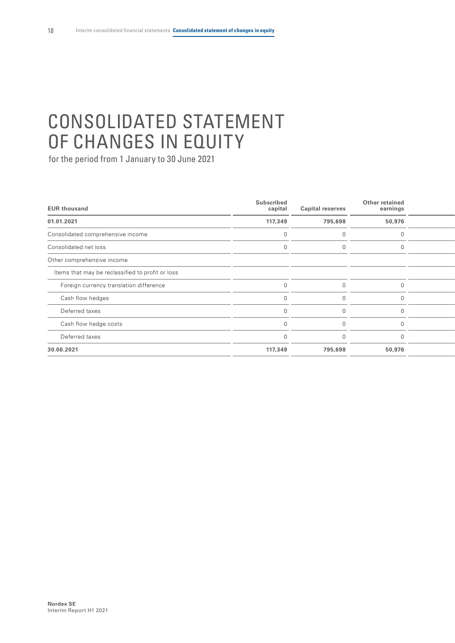# <span id="page-19-0"></span>CONSOLIDATED STATEMENT OF CHANGES IN EQUITY

| <b>EUR thousand</b>                              | <b>Subscribed</b><br>capital | <b>Capital reserves</b> | Other retained<br>earnings |  |
|--------------------------------------------------|------------------------------|-------------------------|----------------------------|--|
| 01.01.2021                                       | 117,349                      | 795,698                 | 50,976                     |  |
| Consolidated comprehensive income                |                              |                         |                            |  |
| Consolidated net loss                            |                              |                         |                            |  |
| Other comprehensive income                       |                              |                         |                            |  |
| Items that may be reclassified to profit or loss |                              |                         |                            |  |
| Foreign currency translation difference          |                              |                         |                            |  |
| Cash flow hedges                                 |                              |                         |                            |  |
| Deferred taxes                                   |                              |                         |                            |  |
| Cash flow hedge costs                            |                              |                         |                            |  |
| Deferred taxes                                   |                              |                         |                            |  |
| 30.06.2021                                       | 117,349                      | 795,698                 | 50,976                     |  |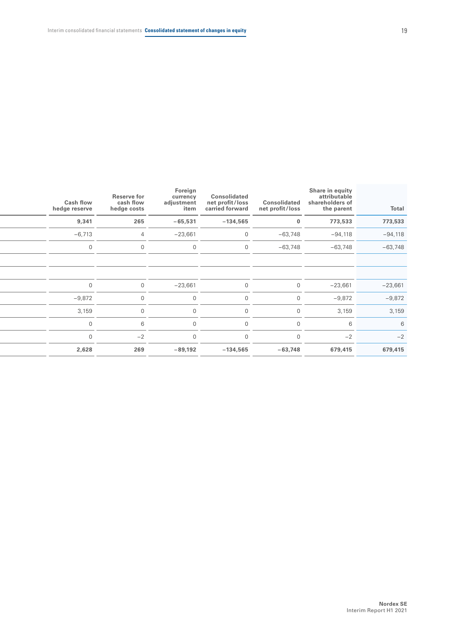| Total     | Share in equity<br>attributable<br>shareholders of<br>the parent | Consolidated<br>net profit/loss | Consolidated<br>net profit/loss<br>carried forward | Foreign<br>currency<br>adjustment<br>item | <b>Reserve for</b><br>cash flow<br>hedge costs | <b>Cash flow</b><br>hedge reserve |
|-----------|------------------------------------------------------------------|---------------------------------|----------------------------------------------------|-------------------------------------------|------------------------------------------------|-----------------------------------|
| 773,533   | 773,533                                                          |                                 | $-134,565$                                         | $-65,531$                                 | 265                                            | 9,341                             |
| $-94,118$ | $-94,118$                                                        | $-63,748$                       | $\overline{0}$                                     | $-23,661$                                 | $\overline{4}$                                 | $-6,713$                          |
| $-63,748$ | $-63,748$                                                        | $-63,748$                       | $\overline{0}$                                     | $\Omega$                                  |                                                | $\Omega$                          |
|           |                                                                  |                                 |                                                    |                                           |                                                |                                   |
|           |                                                                  |                                 |                                                    |                                           |                                                |                                   |
| $-23,661$ | $-23,661$                                                        | $\Omega$                        | $\overline{0}$                                     | $-23,661$                                 | $\Omega$                                       | $\overline{0}$                    |
| $-9,872$  | $-9,872$                                                         | $\Omega$                        | $\overline{0}$                                     | $\overline{0}$                            |                                                | $-9,872$                          |
| 3,159     | 3,159                                                            |                                 | $\overline{0}$                                     | $\overline{0}$                            |                                                | 3,159                             |
| 6         | 6                                                                |                                 | $\overline{0}$                                     | $\Omega$                                  |                                                | $\Omega$                          |
| $-2$      | $-2$                                                             |                                 | $\overline{0}$                                     | $\overline{0}$                            | $-2$                                           | $\Omega$                          |
| 679,415   | 679,415                                                          | $-63,748$                       | $-134,565$                                         | $-89,192$                                 | 269                                            | 2,628                             |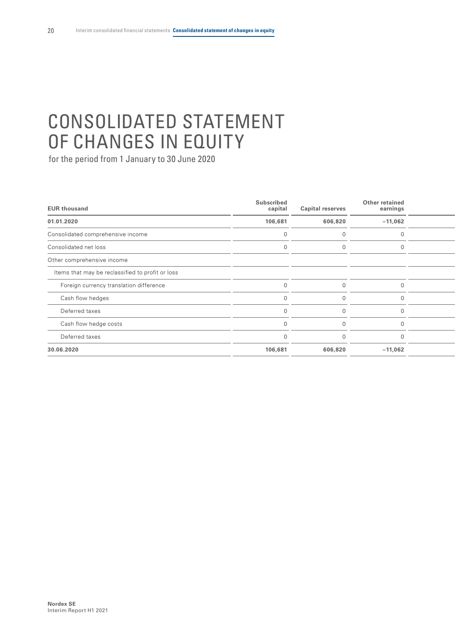# CONSOLIDATED STATEMENT OF CHANGES IN EQUITY

| <b>EUR thousand</b>                              | <b>Subscribed</b><br>capital | <b>Capital reserves</b> | Other retained<br>earnings |  |
|--------------------------------------------------|------------------------------|-------------------------|----------------------------|--|
| 01.01.2020                                       | 106,681                      | 606,820                 | $-11,062$                  |  |
| Consolidated comprehensive income                |                              |                         |                            |  |
| Consolidated net loss                            |                              |                         |                            |  |
| Other comprehensive income                       |                              |                         |                            |  |
| Items that may be reclassified to profit or loss |                              |                         |                            |  |
| Foreign currency translation difference          |                              |                         |                            |  |
| Cash flow hedges                                 |                              |                         |                            |  |
| Deferred taxes                                   |                              |                         |                            |  |
| Cash flow hedge costs                            |                              |                         |                            |  |
| Deferred taxes                                   |                              |                         |                            |  |
| 30.06.2020                                       | 106,681                      | 606,820                 | $-11,062$                  |  |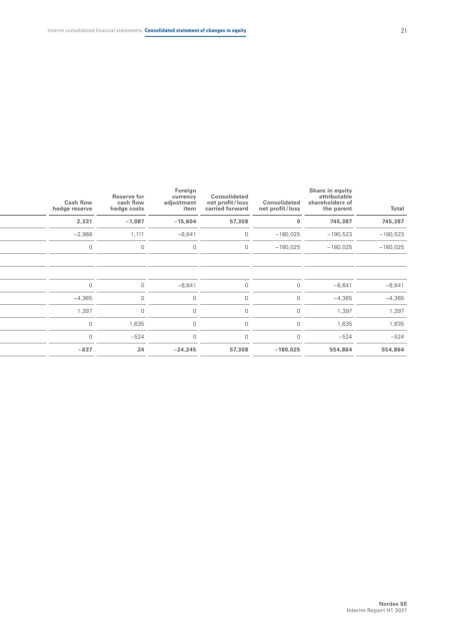| Total      | Share in equity<br>attributable<br>shareholders of<br>the parent | Consolidated<br>net profit/loss | Consolidated<br>net profit/loss<br>carried forward | Foreign<br>currency<br>adjustment<br>item | <b>Reserve for</b><br>cash flow<br>hedge costs | <b>Cash flow</b><br>hedge reserve |
|------------|------------------------------------------------------------------|---------------------------------|----------------------------------------------------|-------------------------------------------|------------------------------------------------|-----------------------------------|
| 745,387    | 745,387                                                          | $\bf{0}$                        | 57,308                                             | $-15,604$                                 | $-1,087$                                       | 2,331                             |
| $-190,523$ | $-190,523$                                                       | $-180,025$                      | $\Omega$                                           | $-8,641$                                  | 1,111                                          | $-2,968$                          |
| $-180,025$ | $-180,025$                                                       | $-180,025$                      | $\cap$                                             | $\Omega$                                  | $\overline{0}$                                 |                                   |
|            |                                                                  |                                 |                                                    |                                           |                                                |                                   |
|            |                                                                  |                                 |                                                    |                                           |                                                |                                   |
| $-8,641$   | $-8,641$                                                         | $\overline{0}$                  | $\mathbf 0$                                        | $-8,641$                                  | $\overline{0}$                                 |                                   |
| $-4,365$   | $-4,365$                                                         | $\cap$                          | $\Omega$                                           | $\Omega$                                  | $\Omega$                                       | $-4,365$                          |
| 1,397      | 1,397                                                            | $\Omega$                        | $\Omega$                                           | $\Omega$                                  | $\Omega$                                       | 1,397                             |
| 1,635      | 1,635                                                            | $\cap$                          |                                                    | $\Omega$                                  | 1,635                                          |                                   |
| $-524$     | $-524$                                                           |                                 |                                                    |                                           | $-524$                                         |                                   |
| 554,864    | 554,864                                                          | $-180,025$                      | 57,308                                             | $-24,245$                                 | 24                                             | $-637$                            |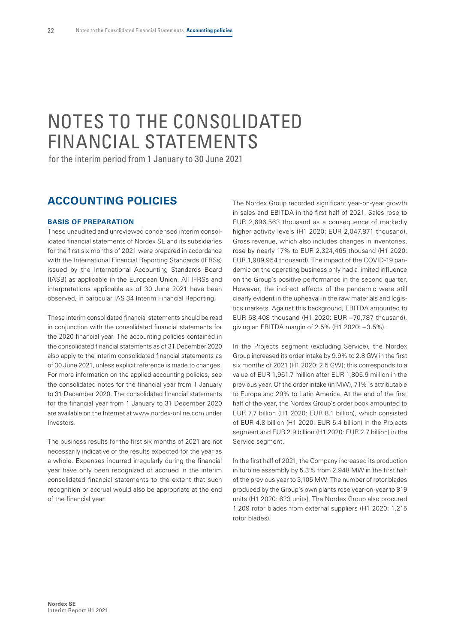# <span id="page-23-0"></span>NOTES TO THE CONSOLIDATED FINANCIAL STATEMENTS

for the interim period from 1 January to 30 June 2021

# **ACCOUNTING POLICIES**

# **BASIS OF PREPARATION**

These unaudited and unreviewed condensed interim consolidated financial statements of Nordex SE and its subsidiaries for the first six months of 2021 were prepared in accordance with the International Financial Reporting Standards (IFRSs) issued by the International Accounting Standards Board (IASB) as applicable in the European Union. All IFRSs and interpretations applicable as of 30 June 2021 have been observed, in particular IAS 34 Interim Financial Reporting.

These interim consolidated financial statements should be read in conjunction with the consolidated financial statements for the 2020 financial year. The accounting policies contained in the consolidated financial statements as of 31 December 2020 also apply to the interim consolidated financial statements as of 30 June 2021, unless explicit reference is made to changes. For more information on the applied accounting policies, see the consolidated notes for the financial year from 1 January to 31 December 2020. The consolidated financial statements for the financial year from 1 January to 31 December 2020 are available on the Internet at www.nordex-online.com under Investors.

The business results for the first six months of 2021 are not necessarily indicative of the results expected for the year as a whole. Expenses incurred irregularly during the financial year have only been recognized or accrued in the interim consolidated financial statements to the extent that such recognition or accrual would also be appropriate at the end of the financial year.

The Nordex Group recorded significant year-on-year growth in sales and EBITDA in the first half of 2021. Sales rose to EUR 2,696,563 thousand as a consequence of markedly higher activity levels (H1 2020: EUR 2,047,871 thousand). Gross revenue, which also includes changes in inventories, rose by nearly 17% to EUR 2,324,465 thousand (H1 2020: EUR 1,989,954 thousand). The impact of the COVID-19 pandemic on the operating business only had a limited influence on the Group's positive performance in the second quarter. However, the indirect effects of the pandemic were still clearly evident in the upheaval in the raw materials and logistics markets. Against this background, EBITDA amounted to EUR 68,408 thousand (H1 2020: EUR –70,787 thousand), giving an EBITDA margin of 2.5% (H1 2020: – 3.5%).

In the Projects segment (excluding Service), the Nordex Group increased its order intake by 9.9% to 2.8 GW in the first six months of 2021 (H1 2020: 2.5 GW); this corresponds to a value of EUR 1,961.7 million after EUR 1,805.9 million in the previous year. Of the order intake (in MW), 71% is attributable to Europe and 29% to Latin America. At the end of the first half of the year, the Nordex Group's order book amounted to EUR 7.7 billion (H1 2020: EUR 8.1 billion), which consisted of EUR 4.8 billion (H1 2020: EUR 5.4 billion) in the Projects segment and EUR 2.9 billion (H1 2020: EUR 2.7 billion) in the Service segment.

In the first half of 2021, the Company increased its production in turbine assembly by 5.3% from 2,948 MW in the first half of the previous year to 3,105 MW. The number of rotor blades produced by the Group's own plants rose year-on-year to 819 units (H1 2020: 623 units). The Nordex Group also procured 1,209 rotor blades from external suppliers (H1 2020: 1,215 rotor blades).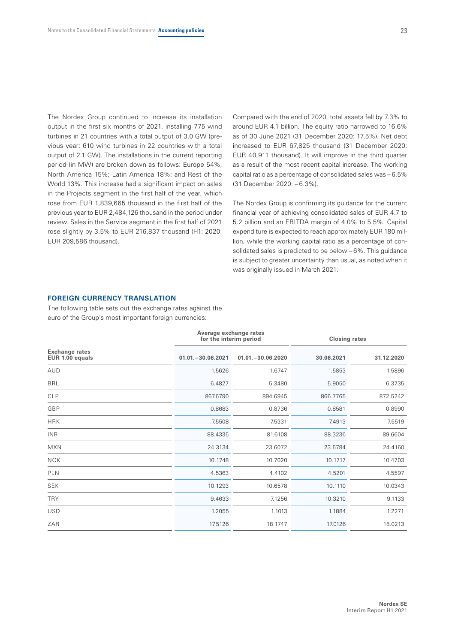The Nordex Group continued to increase its installation output in the first six months of 2021, installing 775 wind turbines in 21 countries with a total output of 3.0 GW (previous year: 610 wind turbines in 22 countries with a total output of 2.1 GW). The installations in the current reporting period (in MW) are broken down as follows: Europe 54%; North America 15%; Latin America 18%; and Rest of the World 13%. This increase had a significant impact on sales in the Projects segment in the first half of the year, which rose from EUR 1,839,665 thousand in the first half of the previous year to EUR 2,484,126 thousand in the period under review. Sales in the Service segment in the first half of 2021 rose slightly by 3.5% to EUR 216,837 thousand (H1: 2020: EUR 209,586 thousand).

Compared with the end of 2020, total assets fell by 7.3% to around EUR 4.1 billion. The equity ratio narrowed to 16.6% as of 30 June 2021 (31 December 2020: 17.5%). Net debt increased to EUR 67,825 thousand (31 December 2020: EUR 40,911 thousand). It will improve in the third quarter as a result of the most recent capital increase. The working capital ratio as a percentage of consolidated sales was – 6.5% (31 December 2020: – 6.3%).

The Nordex Group is confirming its guidance for the current financial year of achieving consolidated sales of EUR 4.7 to 5.2 billion and an EBITDA margin of 4.0% to 5.5%. Capital expenditure is expected to reach approximately EUR 180 million, while the working capital ratio as a percentage of consolidated sales is predicted to be below – 6%. This guidance is subject to greater uncertainty than usual, as noted when it was originally issued in March 2021.

#### **FOREIGN CURRENCY TRANSLATION**

The following table sets out the exchange rates against the euro of the Group's most important foreign currencies:

|                                          | Average exchange rates<br>for the interim period |                    | <b>Closing rates</b> |            |  |
|------------------------------------------|--------------------------------------------------|--------------------|----------------------|------------|--|
| <b>Exchange rates</b><br>EUR 1.00 equals | $01.01 - 30.06.2021$                             | $01.01 - 30.06200$ | 30.06.2021           | 31.12.2020 |  |
| AUD                                      | 1.5626                                           | 1.6747             | 1.5853               | 1.5896     |  |
| <b>BRL</b>                               | 6.4827                                           | 5.3480             | 5.9050               | 6.3735     |  |
| <b>CLP</b>                               | 867.6790                                         | 894.6945           | 866.7765             | 872.5242   |  |
| GBP                                      | 0.8683                                           | 0.8736             | 0.8581               | 0.8990     |  |
| <b>HRK</b>                               | 7.5508                                           | 7.5331             | 7.4913               | 7.5519     |  |
| <b>INR</b>                               | 88.4335                                          | 81.6108            | 88.3236              | 89.6604    |  |
| <b>MXN</b>                               | 24.3134                                          | 23.6072            | 23.5784              | 24.4160    |  |
| <b>NOK</b>                               | 10.1748                                          | 10.7020            | 10.1717              | 10.4703    |  |
| <b>PLN</b>                               | 4.5363                                           | 4.4102             | 4.5201               | 4.5597     |  |
| <b>SEK</b>                               | 10.1293                                          | 10.6578            | 10.1110              | 10.0343    |  |
| <b>TRY</b>                               | 9.4633                                           | 7.1256             | 10.3210              | 9.1133     |  |
| <b>USD</b>                               | 1.2055                                           | 1.1013             | 1.1884               | 1.2271     |  |
| ZAR                                      | 17.5126                                          | 18.1747            | 17.0126              | 18.0213    |  |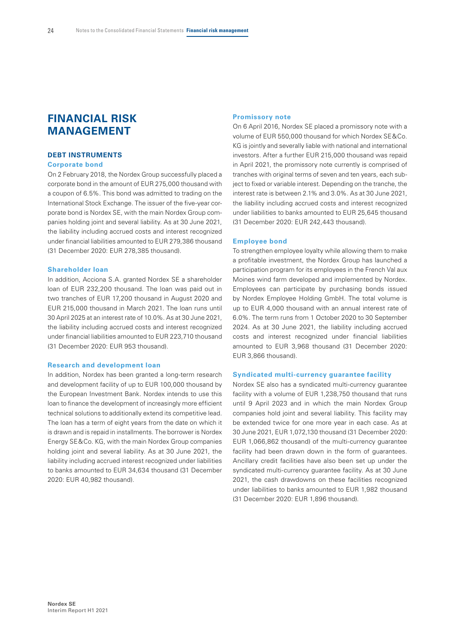# **FINANCIAL RISK MANAGEMENT**

# **DEBT INSTRUMENTS**

## **Corporate bond**

On 2 February 2018, the Nordex Group successfully placed a corporate bond in the amount of EUR 275,000 thousand with a coupon of 6.5%. This bond was admitted to trading on the International Stock Exchange. The issuer of the five-year corporate bond is Nordex SE, with the main Nordex Group companies holding joint and several liability. As at 30 June 2021, the liability including accrued costs and interest recognized under financial liabilities amounted to EUR 279,386 thousand (31 December 2020: EUR 278,385 thousand).

#### **Shareholder loan**

In addition, Acciona S.A. granted Nordex SE a shareholder loan of EUR 232,200 thousand. The loan was paid out in two tranches of EUR 17,200 thousand in August 2020 and EUR 215,000 thousand in March 2021. The loan runs until 30 April 2025 at an interest rate of 10.0%. As at 30 June 2021, the liability including accrued costs and interest recognized under financial liabilities amounted to EUR 223,710 thousand (31 December 2020: EUR 953 thousand).

#### **Research and development loan**

In addition, Nordex has been granted a long-term research and development facility of up to EUR 100,000 thousand by the European Investment Bank. Nordex intends to use this loan to finance the development of increasingly more efficient technical solutions to additionally extend its competitive lead. The loan has a term of eight years from the date on which it is drawn and is repaid in installments. The borrower is Nordex Energy SE&Co. KG, with the main Nordex Group companies holding joint and several liability. As at 30 June 2021, the liability including accrued interest recognized under liabilities to banks amounted to EUR 34,634 thousand (31 December 2020: EUR 40,982 thousand).

#### **Promissory note**

On 6 April 2016, Nordex SE placed a promissory note with a volume of EUR 550,000 thousand for which Nordex SE&Co. KG is jointly and severally liable with national and international investors. After a further EUR 215,000 thousand was repaid in April 2021, the promissory note currently is comprised of tranches with original terms of seven and ten years, each subject to fixed or variable interest. Depending on the tranche, the interest rate is between 2.1% and 3.0%. As at 30 June 2021, the liability including accrued costs and interest recognized under liabilities to banks amounted to EUR 25,645 thousand (31 December 2020: EUR 242,443 thousand).

#### **Employee bond**

To strengthen employee loyalty while allowing them to make a profitable investment, the Nordex Group has launched a participation program for its employees in the French Val aux Moines wind farm developed and implemented by Nordex. Employees can participate by purchasing bonds issued by Nordex Employee Holding GmbH. The total volume is up to EUR 4,000 thousand with an annual interest rate of 6.0%. The term runs from 1 October 2020 to 30 September 2024. As at 30 June 2021, the liability including accrued costs and interest recognized under financial liabilities amounted to EUR 3,968 thousand (31 December 2020: EUR 3,866 thousand).

#### **Syndicated multi-currency guarantee facility**

Nordex SE also has a syndicated multi-currency guarantee facility with a volume of EUR 1,238,750 thousand that runs until 9 April 2023 and in which the main Nordex Group companies hold joint and several liability. This facility may be extended twice for one more year in each case. As at 30 June 2021, EUR 1,072,130 thousand (31 December 2020: EUR 1,066,862 thousand) of the multi-currency guarantee facility had been drawn down in the form of guarantees. Ancillary credit facilities have also been set up under the syndicated multi-currency guarantee facility. As at 30 June 2021, the cash drawdowns on these facilities recognized under liabilities to banks amounted to EUR 1,982 thousand (31 December 2020: EUR 1,896 thousand).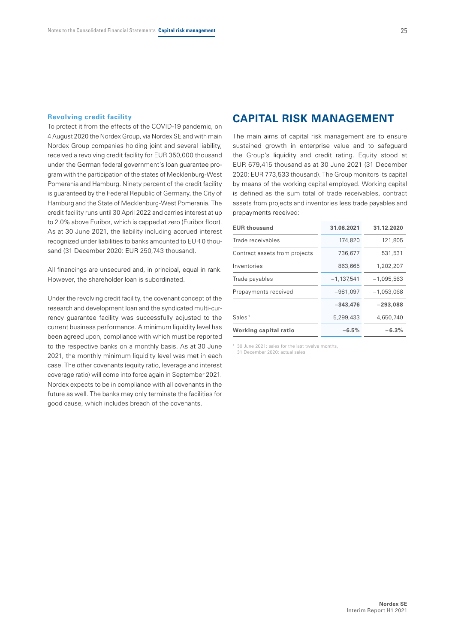#### **Revolving credit facility**

To protect it from the effects of the COVID-19 pandemic, on 4 August 2020 the Nordex Group, via Nordex SE and with main Nordex Group companies holding joint and several liability, received a revolving credit facility for EUR 350,000 thousand under the German federal government's loan guarantee program with the participation of the states of Mecklenburg-West Pomerania and Hamburg. Ninety percent of the credit facility is guaranteed by the Federal Republic of Germany, the City of Hamburg and the State of Mecklenburg-West Pomerania. The credit facility runs until 30 April 2022 and carries interest at up to 2.0% above Euribor, which is capped at zero (Euribor floor). As at 30 June 2021, the liability including accrued interest recognized under liabilities to banks amounted to EUR 0 thousand (31 December 2020: EUR 250,743 thousand).

All financings are unsecured and, in principal, equal in rank. However, the shareholder loan is subordinated.

Under the revolving credit facility, the covenant concept of the research and development loan and the syndicated multi-currency guarantee facility was successfully adjusted to the current business performance. A minimum liquidity level has been agreed upon, compliance with which must be reported to the respective banks on a monthly basis. As at 30 June 2021, the monthly minimum liquidity level was met in each case. The other covenants (equity ratio, leverage and interest coverage ratio) will come into force again in September 2021. Nordex expects to be in compliance with all covenants in the future as well. The banks may only terminate the facilities for good cause, which includes breach of the covenants.

# **CAPITAL RISK MANAGEMENT**

The main aims of capital risk management are to ensure sustained growth in enterprise value and to safeguard the Group's liquidity and credit rating. Equity stood at EUR 679,415 thousand as at 30 June 2021 (31 December 2020: EUR 773,533 thousand). The Group monitors its capital by means of the working capital employed. Working capital is defined as the sum total of trade receivables, contract assets from projects and inventories less trade payables and prepayments received:

| <b>EUR thousand</b>           | 31.06.2021   | 31.12.2020   |
|-------------------------------|--------------|--------------|
| Trade receivables             | 174,820      | 121,805      |
| Contract assets from projects | 736,677      | 531,531      |
| Inventories                   | 863,665      | 1,202,207    |
| Trade payables                | $-1,137,541$ | $-1,095,563$ |
| Prepayments received          | $-981,097$   | $-1,053,068$ |
|                               | $-343,476$   | $-293,088$   |
| Sales <sup>1</sup>            | 5,299,433    | 4,650,740    |
| Working capital ratio         | $-6.5%$      | $-6.3%$      |
|                               |              |              |

1 30 June 2021: sales for the last twelve months, 31 December 2020: actual sales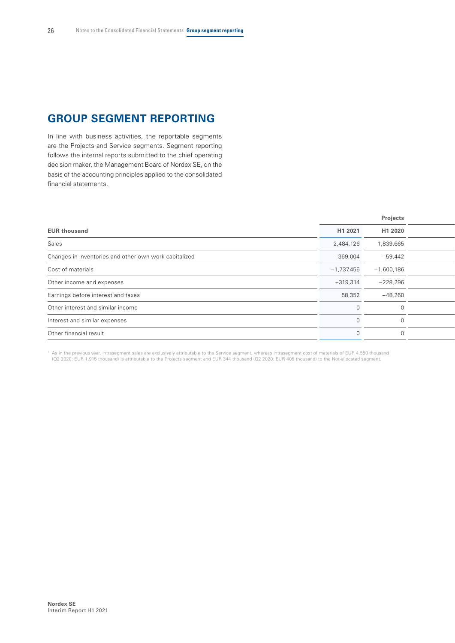# **GROUP SEGMENT REPORTING**

In line with business activities, the reportable segments are the Projects and Service segments. Segment reporting follows the internal reports submitted to the chief operating decision maker, the Management Board of Nordex SE, on the basis of the accounting principles applied to the consolidated financial statements.

|                                                       |              | Projects     |  |
|-------------------------------------------------------|--------------|--------------|--|
| <b>EUR thousand</b>                                   | H1 2021      | H1 2020      |  |
| Sales                                                 | 2,484,126    | 1,839,665    |  |
| Changes in inventories and other own work capitalized | $-369,004$   | $-59,442$    |  |
| Cost of materials                                     | $-1,737,456$ | $-1,600,186$ |  |
| Other income and expenses                             | $-319,314$   | $-228,296$   |  |
| Earnings before interest and taxes                    | 58,352       | $-48,260$    |  |
| Other interest and similar income                     | $\Omega$     |              |  |
| Interest and similar expenses                         | $\cap$       |              |  |
| Other financial result                                | $\cap$       |              |  |
|                                                       |              |              |  |

As in the previous year, intrasegment sales are exclusively attributable to the Service segment, whereas intrasegment cost of materials of EUR 4,550 thousand (12 2020: EUR 1,915 thousand) is attributable to the Projects se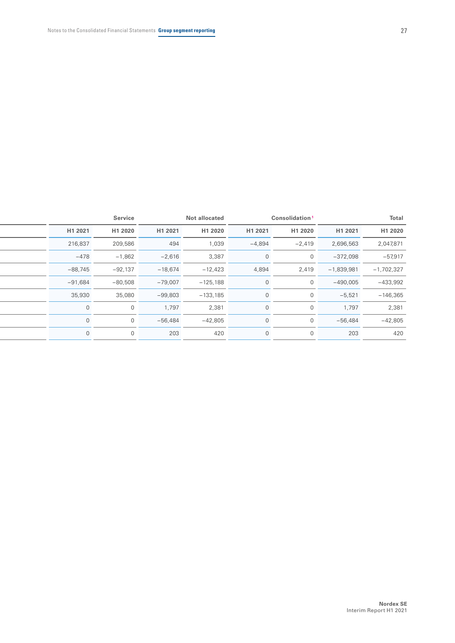|                              | Consolidation <sup>1</sup> |          | Not allocated |           | Service      |           |
|------------------------------|----------------------------|----------|---------------|-----------|--------------|-----------|
| H1 2021                      | H1 2020                    | H1 2021  | H1 2020       | H1 2021   | H1 2020      | H1 2021   |
| 2,696,563<br>2,047,871       | $-2,419$                   | $-4,894$ | 1,039         | 494       | 209,586      | 216,837   |
| $-372,098$                   | $\Omega$                   |          | 3,387         | $-2,616$  | $-1,862$     | $-478$    |
| $-1,839,981$<br>$-1,702,327$ | 2,419                      | 4,894    | $-12,423$     | $-18,674$ | $-92,137$    | $-88,745$ |
| $-490,005$                   |                            |          | $-125,188$    | $-79,007$ | $-80,508$    | $-91,684$ |
| $-5,521$                     |                            |          | $-133,185$    | $-99,803$ | 35,080       | 35,930    |
| 1,797                        |                            |          | 2,381         | 1,797     | $\Omega$     | $\cap$    |
| $-56,484$                    |                            |          | $-42,805$     | $-56,484$ | $\Omega$     | ∩         |
| 203                          |                            |          | 420           | 203       | $\mathbf{0}$ | $\Omega$  |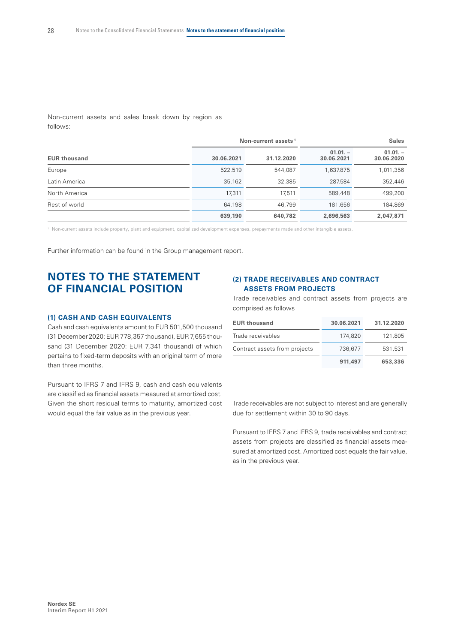Non-current assets and sales break down by region as follows:

|                     |            | Non-current assets <sup>1</sup> | <b>Sales</b>            |                         |  |  |
|---------------------|------------|---------------------------------|-------------------------|-------------------------|--|--|
| <b>EUR thousand</b> | 30.06.2021 | 31.12.2020                      | $01.01 -$<br>30.06.2021 | $01.01 -$<br>30.06.2020 |  |  |
| Europe              | 522,519    | 544,087                         | 1,637,875               | 1,011,356               |  |  |
| Latin America       | 35,162     | 32,385                          | 287,584                 | 352,446                 |  |  |
| North America       | 17,311     | 17.511                          | 589,448                 | 499,200                 |  |  |
| Rest of world       | 64,198     | 46.799                          | 181.656                 | 184,869                 |  |  |
|                     | 639,190    | 640,782                         | 2,696,563               | 2,047,871               |  |  |

1 Non-current assets include property, plant and equipment, capitalized development expenses, prepayments made and other intangible assets.

Further information can be found in the Group management report.

# **NOTES TO THE STATEMENT OF FINANCIAL POSITION**

#### **(1) CASH AND CASH EQUIVALENTS**

Cash and cash equivalents amount to EUR 501,500 thousand (31 December 2020: EUR 778,357 thousand), EUR 7,655 thousand (31 December 2020: EUR 7,341 thousand) of which pertains to fixed-term deposits with an original term of more than three months.

Pursuant to IFRS 7 and IFRS 9, cash and cash equivalents are classified as financial assets measured at amortized cost. Given the short residual terms to maturity, amortized cost would equal the fair value as in the previous year.

# **(2) TRADE RECEIVABLES AND CONTRACT ASSETS FROM PROJECTS**

Trade receivables and contract assets from projects are comprised as follows

| <b>EUR thousand</b>           | 30.06.2021 | 31.12.2020 |
|-------------------------------|------------|------------|
| Trade receivables             | 174,820    | 121,805    |
| Contract assets from projects | 736.677    | 531.531    |
|                               | 911,497    | 653,336    |

Trade receivables are not subject to interest and are generally due for settlement within 30 to 90 days.

Pursuant to IFRS 7 and IFRS 9, trade receivables and contract assets from projects are classified as financial assets measured at amortized cost. Amortized cost equals the fair value, as in the previous year.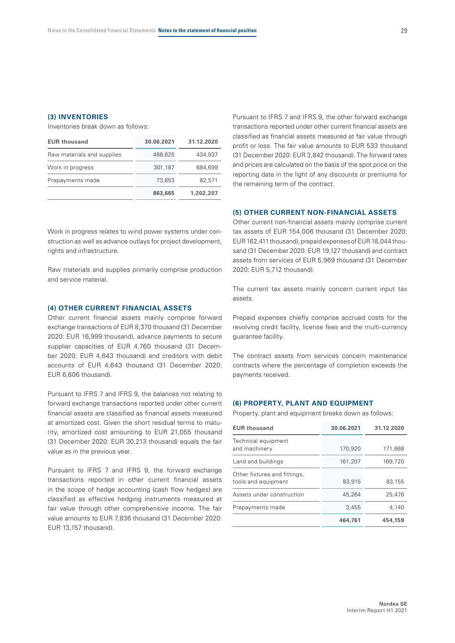#### **(3) INVENTORIES**

Inventories break down as follows:

| <b>EUR thousand</b>        | 30.06.2021 | 31.12.2020 |
|----------------------------|------------|------------|
| Raw materials and supplies | 488,625    | 434,937    |
| Work in progress           | 301,187    | 684.699    |
| Prepayments made           | 73,853     | 82,571     |
|                            | 863,665    | 1,202,207  |

Work in progress relates to wind power systems under construction as well as advance outlays for project development, rights and infrastructure.

Raw materials and supplies primarily comprise production and service material.

# **(4) OTHER CURRENT FINANCIAL ASSETS**

Other current financial assets mainly comprise forward exchange transactions of EUR 8,370 thousand (31 December 2020: EUR 16,999 thousand), advance payments to secure supplier capacities of EUR 4,760 thousand (31 December 2020: EUR 4,643 thousand) and creditors with debit accounts of EUR 4,643 thousand (31 December 2020: EUR 6,606 thousand).

Pursuant to IFRS 7 and IFRS 9, the balances not relating to forward exchange transactions reported under other current financial assets are classified as financial assets measured at amortized cost. Given the short residual terms to maturity, amortized cost amounting to EUR 21,055 thousand (31 December 2020: EUR 30,213 thousand) equals the fair value as in the previous year.

Pursuant to IFRS 7 and IFRS 9, the forward exchange transactions reported in other current financial assets in the scope of hedge accounting (cash flow hedges) are classified as effective hedging instruments measured at fair value through other comprehensive income. The fair value amounts to EUR 7,836 thousand (31 December 2020: EUR 13,157 thousand).

Pursuant to IFRS 7 and IFRS 9, the other forward exchange transactions reported under other current financial assets are classified as financial assets measured at fair value through profit or loss. The fair value amounts to EUR 533 thousand (31 December 2020: EUR 3,842 thousand). The forward rates and prices are calculated on the basis of the spot price on the reporting date in the light of any discounts or premiums for the remaining term of the contract.

## **(5) OTHER CURRENT NON-FINANCIAL ASSETS**

Other current non-financial assets mainly comprise current tax assets of EUR 154,006 thousand (31 December 2020: EUR162,411 thousand), prepaid expenses of EUR18,044 thousand (31 December 2020: EUR 19,127 thousand) and contract assets from services of EUR 5,969 thousand (31 December 2020: EUR 5,712 thousand).

The current tax assets mainly concern current input tax assets.

Prepaid expenses chiefly comprise accrued costs for the revolving credit facility, license fees and the multi-currency guarantee facility.

The contract assets from services concern maintenance contracts where the percentage of completion exceeds the payments received.

#### **(6) PROPERTY, PLANT AND EQUIPMENT**

Property, plant and equipment breaks down as follows:

| <b>EUR thousand</b>                                 | 30.06.2021 | 31.12.2020 |
|-----------------------------------------------------|------------|------------|
| Technical equipment<br>and machinery                | 170.920    | 171,668    |
| Land and buildings                                  | 161,207    | 169,720    |
| Other fixtures and fittings,<br>tools and equipment | 83,915     | 83,155     |
| Assets under construction                           | 45.264     | 25,476     |
| Prepayments made                                    | 3.455      | 4.140      |
|                                                     | 464,761    | 454,159    |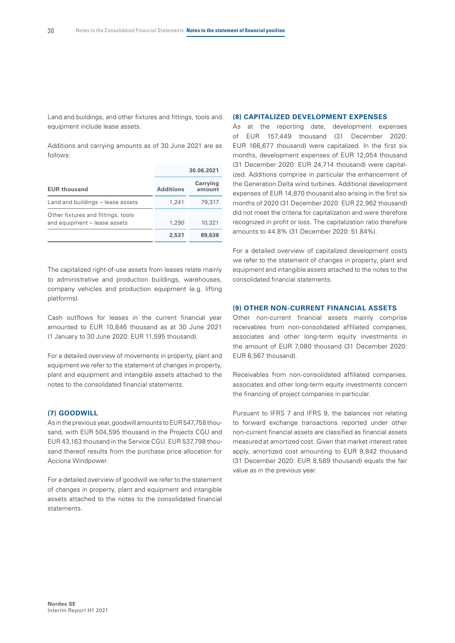Land and buildings, and other fixtures and fittings, tools and equipment include lease assets.

Additions and carrying amounts as of 30 June 2021 are as follows:

|                                                                    |                  | 30.06.2021         |
|--------------------------------------------------------------------|------------------|--------------------|
| <b>EUR thousand</b>                                                | <b>Additions</b> | Carrying<br>amount |
| Land and buildings - lease assets                                  | 1,241            | 79,317             |
| Other fixtures and fittings, tools<br>and equipment - lease assets | 1,290            | 10,321             |
|                                                                    | 2.531            | 89,638             |

The capitalized right-of-use assets from leases relate mainly to administrative and production buildings, warehouses, company vehicles and production equipment (e.g. lifting platforms).

Cash outflows for leases in the current financial year amounted to EUR 10,846 thousand as at 30 June 2021 (1 January to 30 June 2020: EUR 11,595 thousand).

For a detailed overview of movements in property, plant and equipment we refer to the statement of changes in property, plant and equipment and intangible assets attached to the notes to the consolidated financial statements.

## **(7) GOODWILL**

As in the previous year, goodwill amounts to EUR547,758 thousand, with EUR 504,595 thousand in the Projects CGU and EUR 43,163 thousand in the Service CGU. EUR 537,798 thousand thereof results from the purchase price allocation for Acciona Windpower.

For a detailed overview of goodwill we refer to the statement of changes in property, plant and equipment and intangible assets attached to the notes to the consolidated financial statements.

#### **(8) CAPITALIZED DEVELOPMENT EXPENSES**

As at the reporting date, development expenses of EUR 157,449 thousand (31 December 2020: EUR 166,677 thousand) were capitalized. In the first six months, development expenses of EUR 12,054 thousand (31 December 2020: EUR 24,714 thousand) were capitalized. Additions comprise in particular the enhancement of the Generation Delta wind turbines. Additional development expenses of EUR 14,870 thousand also arising in the first six months of 2020 (31 December 2020: EUR 22,962 thousand) did not meet the criteria for capitalization and were therefore recognized in profit or loss. The capitalization ratio therefore amounts to 44.8% (31 December 2020: 51.84%).

For a detailed overview of capitalized development costs we refer to the statement of changes in property, plant and equipment and intangible assets attached to the notes to the consolidated financial statements.

## **(9) OTHER NON-CURRENT FINANCIAL ASSETS**

Other non-current financial assets mainly comprise receivables from non-consolidated affiliated companies, associates and other long-term equity investments in the amount of EUR 7,080 thousand (31 December 2020: EUR 6,567 thousand).

Receivables from non-consolidated affiliated companies, associates and other long-term equity investments concern the financing of project companies in particular.

Pursuant to IFRS 7 and IFRS 9, the balances not relating to forward exchange transactions reported under other non-current financial assets are classified as financial assets measured at amortized cost. Given that market interest rates apply, amortized cost amounting to EUR 9,842 thousand (31 December 2020: EUR 8,589 thousand) equals the fair value as in the previous year.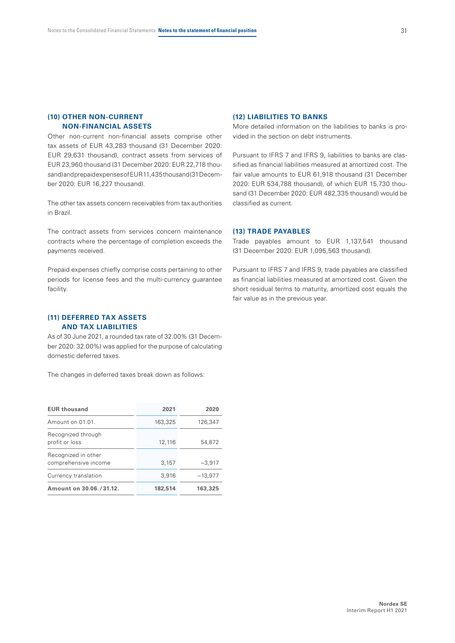# **(10) OTHER NON-CURRENT NON-FINANCIAL ASSETS**

Other non-current non-financial assets comprise other tax assets of EUR 43,283 thousand (31 December 2020: EUR 29,631 thousand), contract assets from services of EUR 23,960 thousand (31 December 2020: EUR 22,718 thousand) and prepaid expenses of EUR11,435thousand (31December 2020: EUR 16,227 thousand).

The other tax assets concern receivables from tax authorities in Brazil.

The contract assets from services concern maintenance contracts where the percentage of completion exceeds the payments received.

Prepaid expenses chiefly comprise costs pertaining to other periods for license fees and the multi-currency guarantee facility.

## **(11) DEFERRED TAX ASSETS AND TAX LIABILITIES**

As of 30 June 2021, a rounded tax rate of 32.00% (31 December 2020: 32.00%) was applied for the purpose of calculating domestic deferred taxes.

The changes in deferred taxes break down as follows:

| <b>EUR thousand</b>                         | 2021    | 2020      |
|---------------------------------------------|---------|-----------|
| Amount on 01.01.                            | 163,325 | 126,347   |
| Recognized through<br>profit or loss        | 12,116  | 54.872    |
| Recognized in other<br>comprehensive income | 3,157   | $-3.917$  |
| Currency translation                        | 3,916   | $-13,977$ |
| Amount on 30.06./31.12.                     | 182,514 | 163,325   |

#### **(12) LIABILITIES TO BANKS**

More detailed information on the liabilities to banks is provided in the section on debt instruments.

Pursuant to IFRS 7 and IFRS 9, liabilities to banks are classified as financial liabilities measured at amortized cost. The fair value amounts to EUR 61,918 thousand (31 December 2020: EUR 534,788 thousand), of which EUR 15,730 thousand (31 December 2020: EUR 482,335 thousand) would be classified as current.

## **(13) TRADE PAYABLES**

Trade payables amount to EUR 1,137,541 thousand (31 December 2020: EUR 1,095,563 thousand).

Pursuant to IFRS 7 and IFRS 9, trade payables are classified as financial liabilities measured at amortized cost. Given the short residual terms to maturity, amortized cost equals the fair value as in the previous year.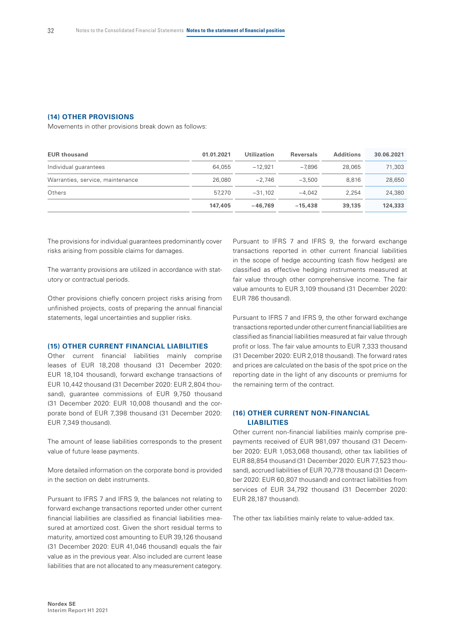#### **(14) OTHER PROVISIONS**

Movements in other provisions break down as follows:

| <b>EUR thousand</b>              | 01.01.2021 | <b>Utilization</b> | <b>Reversals</b> | <b>Additions</b> | 30.06.2021 |
|----------------------------------|------------|--------------------|------------------|------------------|------------|
| Individual guarantees            | 64.055     | $-12.921$          | $-7.896$         | 28,065           | 71.303     |
| Warranties, service, maintenance | 26,080     | $-2.746$           | $-3.500$         | 8.816            | 28.650     |
| Others                           | 57.270     | $-31.102$          | $-4.042$         | 2.254            | 24,380     |
|                                  | 147,405    | $-46.769$          | $-15,438$        | 39,135           | 124,333    |

The provisions for individual guarantees predominantly cover risks arising from possible claims for damages.

The warranty provisions are utilized in accordance with statutory or contractual periods.

Other provisions chiefly concern project risks arising from unfinished projects, costs of preparing the annual financial statements, legal uncertainties and supplier risks.

# **(15) OTHER CURRENT FINANCIAL LIABILITIES**

Other current financial liabilities mainly comprise leases of EUR 18,208 thousand (31 December 2020: EUR 18,104 thousand), forward exchange transactions of EUR 10,442 thousand (31 December 2020: EUR 2,804 thousand), guarantee commissions of EUR 9,750 thousand (31 December 2020: EUR 10,008 thousand) and the corporate bond of EUR 7,398 thousand (31 December 2020: EUR 7,349 thousand).

The amount of lease liabilities corresponds to the present value of future lease payments.

More detailed information on the corporate bond is provided in the section on debt instruments.

Pursuant to IFRS 7 and IFRS 9, the balances not relating to forward exchange transactions reported under other current financial liabilities are classified as financial liabilities measured at amortized cost. Given the short residual terms to maturity, amortized cost amounting to EUR 39,126 thousand (31 December 2020: EUR 41,046 thousand) equals the fair value as in the previous year. Also included are current lease liabilities that are not allocated to any measurement category.

Pursuant to IFRS 7 and IFRS 9, the forward exchange transactions reported in other current financial liabilities in the scope of hedge accounting (cash flow hedges) are classified as effective hedging instruments measured at fair value through other comprehensive income. The fair value amounts to EUR 3,109 thousand (31 December 2020: EUR 786 thousand).

Pursuant to IFRS 7 and IFRS 9, the other forward exchange transactions reported under other current financial liabilities are classified as financial liabilities measured at fair value through profit or loss. The fair value amounts to EUR 7,333 thousand (31 December 2020: EUR 2,018 thousand). The forward rates and prices are calculated on the basis of the spot price on the reporting date in the light of any discounts or premiums for the remaining term of the contract.

# **(16) OTHER CURRENT NON-FINANCIAL LIABILITIES**

Other current non-financial liabilities mainly comprise prepayments received of EUR 981,097 thousand (31 December 2020: EUR 1,053,068 thousand), other tax liabilities of EUR 88,854 thousand (31 December 2020: EUR 77,523 thousand), accrued liabilities of EUR 70,778 thousand (31 December 2020: EUR 60,807 thousand) and contract liabilities from services of EUR 34,792 thousand (31 December 2020: EUR 28,187 thousand).

The other tax liabilities mainly relate to value-added tax.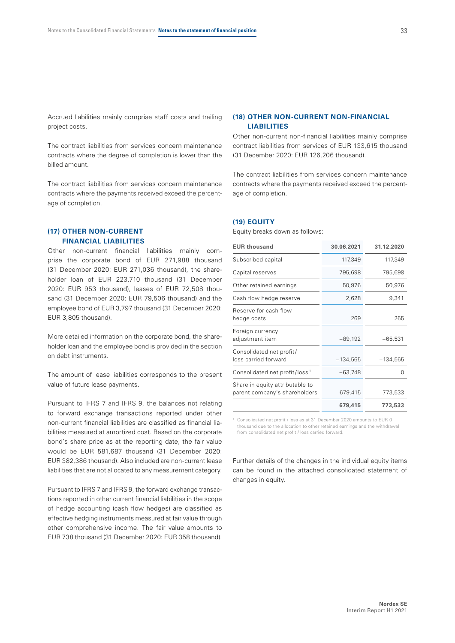Accrued liabilities mainly comprise staff costs and trailing project costs.

The contract liabilities from services concern maintenance contracts where the degree of completion is lower than the billed amount.

The contract liabilities from services concern maintenance contracts where the payments received exceed the percentage of completion.

## **(17) OTHER NON-CURRENT FINANCIAL LIABILITIES**

Other non-current financial liabilities mainly comprise the corporate bond of EUR 271,988 thousand (31 December 2020: EUR 271,036 thousand), the shareholder loan of EUR 223,710 thousand (31 December 2020: EUR 953 thousand), leases of EUR 72,508 thousand (31 December 2020; FUR 79,506 thousand) and the employee bond of EUR 3,797 thousand (31 December 2020: EUR 3,805 thousand).

More detailed information on the corporate bond, the shareholder loan and the employee bond is provided in the section on debt instruments.

The amount of lease liabilities corresponds to the present value of future lease payments.

Pursuant to IFRS 7 and IFRS 9, the balances not relating to forward exchange transactions reported under other non-current financial liabilities are classified as financial liabilities measured at amortized cost. Based on the corporate bond's share price as at the reporting date, the fair value would be EUR 581,687 thousand (31 December 2020: EUR 382,386 thousand). Also included are non-current lease liabilities that are not allocated to any measurement category.

Pursuant to IFRS 7 and IFRS 9, the forward exchange transactions reported in other current financial liabilities in the scope of hedge accounting (cash flow hedges) are classified as effective hedging instruments measured at fair value through other comprehensive income. The fair value amounts to EUR 738 thousand (31 December 2020: EUR 358 thousand).

## **(18) OTHER NON-CURRENT NON-FINANCIAL LIABILITIES**

Other non-current non-financial liabilities mainly comprise contract liabilities from services of EUR 133,615 thousand (31 December 2020: EUR 126,206 thousand).

The contract liabilities from services concern maintenance contracts where the payments received exceed the percentage of completion.

# **(19) EQUITY**

Equity breaks down as follows:

| <b>EUR thousand</b>                                              | 30.06.2021 | 31.12.2020 |
|------------------------------------------------------------------|------------|------------|
| Subscribed capital                                               | 117,349    | 117,349    |
| Capital reserves                                                 | 795,698    | 795,698    |
| Other retained earnings                                          | 50,976     | 50,976     |
| Cash flow hedge reserve                                          | 2,628      | 9,341      |
| Reserve for cash flow<br>hedge costs                             | 269        | 265        |
| Foreign currency<br>adjustment item                              | $-89,192$  | $-65,531$  |
| Consolidated net profit/<br>loss carried forward                 | $-134,565$ | $-134,565$ |
| Consolidated net profit/loss <sup>1</sup>                        | $-63,748$  | O          |
| Share in equity attributable to<br>parent company's shareholders | 679,415    | 773,533    |
|                                                                  | 679,415    | 773,533    |

Consolidated net profit / loss as at 31 December 2020 amounts to EUR 0 thousand due to the allocation to other retained earnings and the withdrawal from consolidated net profit / loss carried forward.

Further details of the changes in the individual equity items can be found in the attached consolidated statement of changes in equity.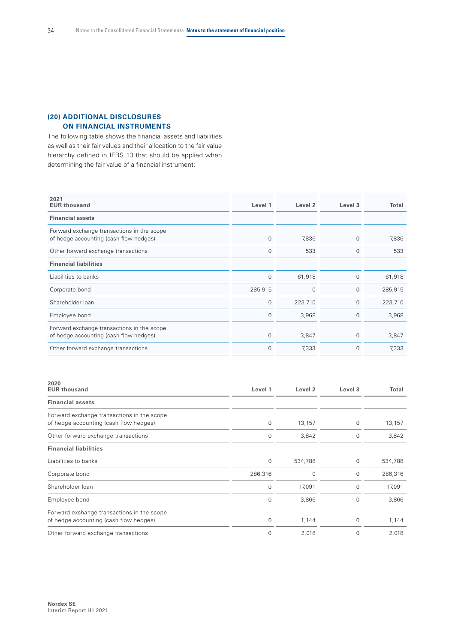# **(20) ADDITIONAL DISCLOSURES ON FINANCIAL INSTRUMENTS**

The following table shows the financial assets and liabilities as well as their fair values and their allocation to the fair value hierarchy defined in IFRS 13 that should be applied when determining the fair value of a financial instrument:

| 2021<br><b>EUR thousand</b>                                                          | Level 1     | Level <sub>2</sub> | Level 3     | Total   |
|--------------------------------------------------------------------------------------|-------------|--------------------|-------------|---------|
| <b>Financial assets</b>                                                              |             |                    |             |         |
| Forward exchange transactions in the scope<br>of hedge accounting (cash flow hedges) | $\mathbf 0$ | 7,836              | $\mathbf 0$ | 7,836   |
| Other forward exchange transactions                                                  | $\mathbf 0$ | 533                | $\Omega$    | 533     |
| <b>Financial liabilities</b>                                                         |             |                    |             |         |
| Liabilities to banks                                                                 | $\mathbf 0$ | 61,918             | $\mathbf 0$ | 61,918  |
| Corporate bond                                                                       | 285,915     | $\Omega$           | $\mathbf 0$ | 285,915 |
| Shareholder loan                                                                     | $\mathbf 0$ | 223,710            | $\mathbf 0$ | 223,710 |
| Employee bond                                                                        | $\mathbf 0$ | 3,968              | $\mathbf 0$ | 3,968   |
| Forward exchange transactions in the scope<br>of hedge accounting (cash flow hedges) | $\mathbf 0$ | 3,847              | $\Omega$    | 3,847   |
| Other forward exchange transactions                                                  | $\mathbf 0$ | 7,333              | $\mathbf 0$ | 7,333   |

| 2020<br><b>EUR thousand</b>                                                          | Level 1     | Level <sub>2</sub> | Level 3 | Total   |
|--------------------------------------------------------------------------------------|-------------|--------------------|---------|---------|
| <b>Financial assets</b>                                                              |             |                    |         |         |
| Forward exchange transactions in the scope<br>of hedge accounting (cash flow hedges) | $\mathbf 0$ | 13,157             | 0       | 13,157  |
| Other forward exchange transactions                                                  | 0           | 3,842              | 0       | 3,842   |
| <b>Financial liabilities</b>                                                         |             |                    |         |         |
| Liabilities to banks                                                                 | $\mathbf 0$ | 534,788            | 0       | 534,788 |
| Corporate bond                                                                       | 286,316     | $\Omega$           | 0       | 286,316 |
| Shareholder loan                                                                     | $\mathbf 0$ | 17,091             | 0       | 17,091  |
| Employee bond                                                                        | 0           | 3,866              | 0       | 3,866   |
| Forward exchange transactions in the scope<br>of hedge accounting (cash flow hedges) | $\mathbf 0$ | 1,144              | 0       | 1,144   |
| Other forward exchange transactions                                                  | $\mathbf 0$ | 2,018              | 0       | 2,018   |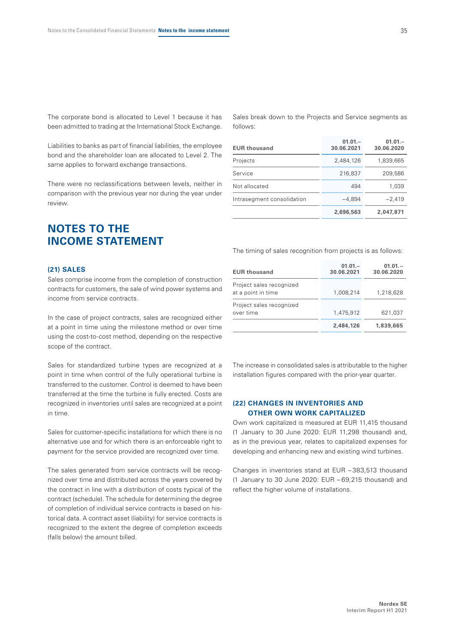The corporate bond is allocated to Level 1 because it has been admitted to trading at the International Stock Exchange.

Liabilities to banks as part of financial liabilities, the employee bond and the shareholder loan are allocated to Level 2. The same applies to forward exchange transactions.

There were no reclassifications between levels, neither in comparison with the previous year nor during the year under review.

# **NOTES TO THE INCOME STATEMENT**

#### **(21) SALES**

Sales comprise income from the completion of construction contracts for customers, the sale of wind power systems and income from service contracts.

In the case of project contracts, sales are recognized either at a point in time using the milestone method or over time using the cost-to-cost method, depending on the respective scope of the contract.

Sales for standardized turbine types are recognized at a point in time when control of the fully operational turbine is transferred to the customer. Control is deemed to have been transferred at the time the turbine is fully erected. Costs are recognized in inventories until sales are recognized at a point in time.

Sales for customer-specific installations for which there is no alternative use and for which there is an enforceable right to payment for the service provided are recognized over time.

The sales generated from service contracts will be recognized over time and distributed across the years covered by the contract in line with a distribution of costs typical of the contract (schedule). The schedule for determining the degree of completion of individual service contracts is based on historical data. A contract asset (liability) for service contracts is recognized to the extent the degree of completion exceeds (falls below) the amount billed.

Sales break down to the Projects and Service segments as follows:

| <b>EUR thousand</b>        | $01.01 -$<br>30.06.2021 | $01.01 -$<br>30.06.2020 |
|----------------------------|-------------------------|-------------------------|
| Projects                   | 2,484,126               | 1,839,665               |
| Service                    | 216,837                 | 209,586                 |
| Not allocated              | 494                     | 1.039                   |
| Intrasegment consolidation | $-4.894$                | $-2,419$                |
|                            | 2,696,563               | 2,047,871               |

The timing of sales recognition from projects is as follows:

| <b>EUR thousand</b>                            | $01.01 -$<br>30.06.2021 | $01.01 -$<br>30.06.2020 |
|------------------------------------------------|-------------------------|-------------------------|
| Project sales recognized<br>at a point in time | 1.008.214               | 1,218,628               |
| Project sales recognized<br>over time          | 1,475,912               | 621,037                 |
|                                                | 2,484,126               | 1,839,665               |

The increase in consolidated sales is attributable to the higher installation figures compared with the prior-year quarter.

## **(22) CHANGES IN INVENTORIES AND OTHER OWN WORK CAPITALIZED**

Own work capitalized is measured at EUR 11,415 thousand (1 January to 30 June 2020: EUR 11,298 thousand) and, as in the previous year, relates to capitalized expenses for developing and enhancing new and existing wind turbines.

Changes in inventories stand at EUR – 383,513 thousand (1 January to 30 June 2020: EUR – 69,215 thousand) and reflect the higher volume of installations.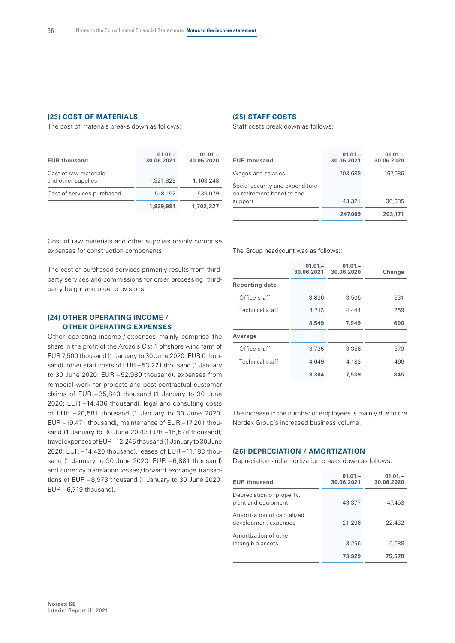## **(23) COST OF MATERIALS**

The cost of materials breaks down as follows:

| <b>EUR thousand</b>                         | $01.01 -$<br>30.06.2021 | $01.01 -$<br>30.06.2020 |
|---------------------------------------------|-------------------------|-------------------------|
| Cost of raw materials<br>and other supplies | 1,321,829               | 1,163,248               |
| Cost of services purchased                  | 518,152                 | 539.079                 |
|                                             | 1.839.981               | 1,702,327               |

# **(25) STAFF COSTS**

Staff costs break down as follows:

| <b>EUR thousand</b>                                                      | $01.01 -$<br>30.06.2021 | $01.01 -$<br>30.06.2020 |
|--------------------------------------------------------------------------|-------------------------|-------------------------|
| Wages and salaries                                                       | 203,688                 | 167,086                 |
| Social security and expenditure<br>on retirement benefits and<br>support | 43,321                  | 36,085                  |
|                                                                          |                         |                         |
|                                                                          | 247,009                 | 203,171                 |

Cost of raw materials and other supplies mainly comprise expenses for construction components.

The cost of purchased services primarily results from thirdparty services and commissions for order processing, thirdparty freight and order provisions.

## **(24) OTHER OPERATING INCOME / OTHER OPERATING EXPENSES**

Other operating income / expenses mainly comprise the share in the profit of the Arcadis Ost 1 offshore wind farm of EUR 7,500 thousand (1 January to 30 June 2020: EUR 0 thousand), other staff costs of EUR – 53,221 thousand (1 January to 30 June 2020: EUR – 52,989 thousand), expenses from remedial work for projects and post-contractual customer claims of EUR – 35,843 thousand (1 January to 30 June 2020: EUR –14,436 thousand), legal and consulting costs of EUR –20,581 thousand (1 January to 30 June 2020: EUR –19,471 thousand), maintenance of EUR –17,201 thousand (1 January to 30 June 2020: EUR –15,578 thousand), travel expenses of EUR-12,245 thousand (1 January to 30 June 2020: EUR –14,420 thousand), leases of EUR –11,183 thousand (1 January to 30 June 2020: EUR - 6,881 thousand) and currency translation losses / forward exchange transactions of EUR – 8,973 thousand (1 January to 30 June 2020:  $EUR - 6,719$  thousand).

The Group headcount was as follows::

|                        | $01.01 -$<br>30.06.2021 | $01.01 -$<br>30.06.2020 | Change |
|------------------------|-------------------------|-------------------------|--------|
| <b>Reporting date</b>  |                         |                         |        |
| Office staff           | 3,836                   | 3,505                   | 331    |
| <b>Technical staff</b> | 4.713                   | 4.444                   | 269    |
|                        | 8,549                   | 7,949                   | 600    |
| Average                |                         |                         |        |
| Office staff           | 3,735                   | 3,356                   | 379    |
| <b>Technical staff</b> | 4.649                   | 4,183                   | 466    |
|                        | 8,384                   | 7,539                   | 845    |

The increase in the number of employees is mainly due to the Nordex Group's increased business volume.

# **(26) DEPRECIATION / AMORTIZATION**

Depreciation and amortization breaks down as follows:

| <b>EUR thousand</b>                                 | $01.01 -$<br>30.06.2021 | $01.01 -$<br>30.06.2020 |
|-----------------------------------------------------|-------------------------|-------------------------|
| Depreciation of property,<br>plant and equipment    | 49,377                  | 47,458                  |
| Amortization of capitalized<br>development expenses | 21,296                  | 22,432                  |
| Amortization of other<br>intangible assets          | 3,256                   | 5,688                   |
|                                                     | 73,929                  | 75,578                  |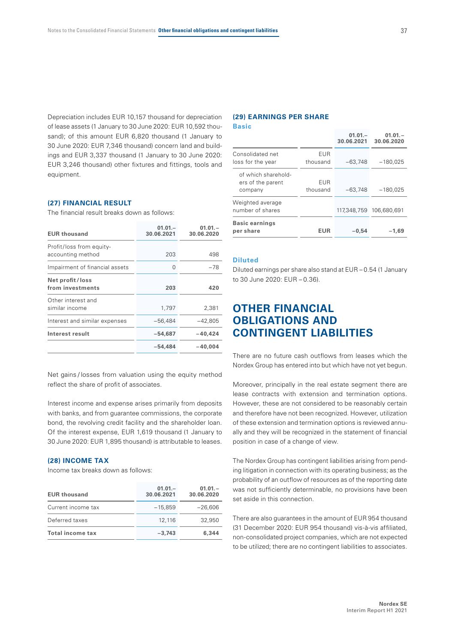Depreciation includes EUR 10,157 thousand for depreciation of lease assets (1 January to 30 June 2020: EUR 10,592 thousand); of this amount EUR 6,820 thousand (1 January to 30 June 2020: EUR 7,346 thousand) concern land and buildings and EUR 3,337 thousand (1 January to 30 June 2020: EUR 3,246 thousand) other fixtures and fittings, tools and equipment.

#### **(27) FINANCIAL RESULT**

The financial result breaks down as follows:

| <b>EUR thousand</b>                           | $01.01 -$<br>30.06.2021 | $01.01 -$<br>30.06.2020 |
|-----------------------------------------------|-------------------------|-------------------------|
| Profit/loss from equity-<br>accounting method | 203                     | 498                     |
| Impairment of financial assets                | 0                       | $-78$                   |
| Net profit/loss<br>from investments           | 203                     | 420                     |
| Other interest and<br>similar income          | 1,797                   | 2,381                   |
| Interest and similar expenses                 | $-56,484$               | $-42,805$               |
| Interest result                               | -54,687                 | $-40.424$               |
|                                               | -54,484                 | $-40.004$               |
|                                               |                         |                         |

Net gains / losses from valuation using the equity method reflect the share of profit of associates.

Interest income and expense arises primarily from deposits with banks, and from guarantee commissions, the corporate bond, the revolving credit facility and the shareholder loan. Of the interest expense, EUR 1,619 thousand (1 January to 30 June 2020: EUR 1,895 thousand) is attributable to leases.

#### **(28) INCOME TAX**

Income tax breaks down as follows:

| <b>EUR thousand</b>     | $01.01 -$<br>30.06.2021 | $01.01 -$<br>30.06.2020 |
|-------------------------|-------------------------|-------------------------|
| Current income tax      | $-15.859$               | $-26.606$               |
| Deferred taxes          | 12,116                  | 32,950                  |
| <b>Total income tax</b> | $-3.743$                | 6,344                   |

#### **(29) EARNINGS PER SHARE Basic**

|                                                     |                        | $01.01 -$<br>30.06.2021 | $01.01 -$<br>30.06.2020 |
|-----------------------------------------------------|------------------------|-------------------------|-------------------------|
| Consolidated net<br>loss for the year               | <b>EUR</b><br>thousand | $-63,748$               | $-180,025$              |
| of which sharehold-<br>ers of the parent<br>company | <b>EUR</b><br>thousand | $-63,748$               | $-180,025$              |
| Weighted average<br>number of shares                |                        |                         | 117,348,759 106,680,691 |
| <b>Basic earnings</b><br>per share                  | EUR                    | $-0.54$                 | $-1.69$                 |

## **Diluted**

Diluted earnings per share also stand at EUR – 0.54 (1 January to 30 June 2020: EUR – 0.36).

# **OTHER FINANCIAL OBLIGATIONS AND CONTINGENT LIABILITIES**

There are no future cash outflows from leases which the Nordex Group has entered into but which have not yet begun.

Moreover, principally in the real estate segment there are lease contracts with extension and termination options. However, these are not considered to be reasonably certain and therefore have not been recognized. However, utilization of these extension and termination options is reviewed annually and they will be recognized in the statement of financial position in case of a change of view.

The Nordex Group has contingent liabilities arising from pending litigation in connection with its operating business; as the probability of an outflow of resources as of the reporting date was not sufficiently determinable, no provisions have been set aside in this connection.

There are also guarantees in the amount of EUR 954 thousand (31 December 2020: EUR 954 thousand) vis-à-vis affiliated, non-consolidated project companies, which are not expected to be utilized; there are no contingent liabilities to associates.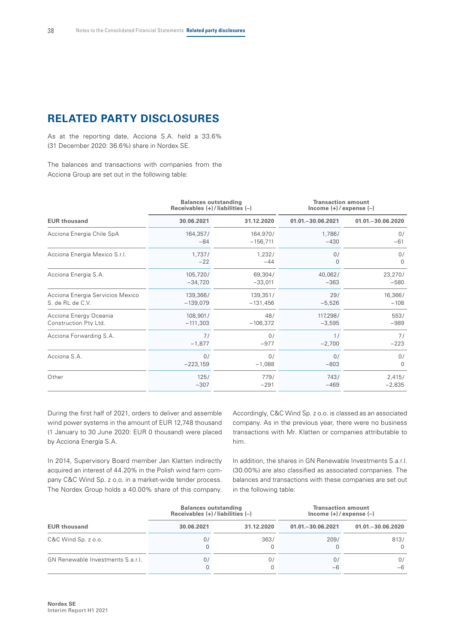# **RELATED PARTY DISCLOSURES**

As at the reporting date, Acciona S.A. held a 33.6% (31 December 2020: 36.6%) share in Nordex SE.

The balances and transactions with companies from the Acciona Group are set out in the following table:

|                                  | <b>Balances outstanding</b><br>Receivables $(+)$ / liabilities $(-)$ |            | <b>Transaction amount</b><br>Income $(+)/$ expense $(-)$ |                     |  |
|----------------------------------|----------------------------------------------------------------------|------------|----------------------------------------------------------|---------------------|--|
| <b>EUR thousand</b>              | 30.06.2021                                                           | 31.12.2020 | $01.01 - 30.06.2021$                                     | 01.01. - 30.06.2020 |  |
| Acciona Energia Chile SpA        | 164,357/                                                             | 164,970/   | 1,786/                                                   | 0/                  |  |
|                                  | $-84$                                                                | $-156,711$ | $-430$                                                   | $-61$               |  |
| Acciona Energia Mexico S.r.l.    | 1,737/                                                               | 1,232/     | 0/                                                       | 0/                  |  |
|                                  | $-22$                                                                | $-44$      | 0                                                        | $\Omega$            |  |
| Acciona Energia S.A.             | 105,720/                                                             | 69,304/    | 40,062/                                                  | 23,270/             |  |
|                                  | $-34,720$                                                            | $-33,011$  | $-363$                                                   | $-580$              |  |
| Acciona Energia Servicios Mexico | 139,366/                                                             | 139,351/   | 29/                                                      | 16,366/             |  |
| S. de RL de C.V.                 | $-139,079$                                                           | $-131,456$ | $-5,526$                                                 | $-108$              |  |
| Acciona Energy Oceania           | 108,901/                                                             | 48/        | 117,298/                                                 | 553/                |  |
| Construction Pty Ltd.            | $-111,303$                                                           | $-106,372$ | $-3,595$                                                 | $-989$              |  |
| Acciona Forwarding S.A.          | 71                                                                   | 0/         | 1/                                                       | 7/                  |  |
|                                  | $-1,877$                                                             | $-977$     | $-2,700$                                                 | $-223$              |  |
| Acciona S.A.                     | 0/                                                                   | 0/         | 0/                                                       | 0/                  |  |
|                                  | $-223,159$                                                           | $-1,088$   | $-803$                                                   | $\Omega$            |  |
| Other                            | 125/                                                                 | 779/       | 743/                                                     | 2,415/              |  |
|                                  | $-307$                                                               | $-291$     | $-469$                                                   | $-2,835$            |  |

During the first half of 2021, orders to deliver and assemble wind power systems in the amount of EUR 12,748 thousand (1 January to 30 June 2020: EUR 0 thousand) were placed by Acciona Energía S.A.

In 2014, Supervisory Board member Jan Klatten indirectly acquired an interest of 44.20% in the Polish wind farm company C&C Wind Sp. z o.o. in a market-wide tender process. The Nordex Group holds a 40.00% share of this company.

Accordingly, C&C Wind Sp. z o.o. is classed as an associated company. As in the previous year, there were no business transactions with Mr. Klatten or companies attributable to him.

In addition, the shares in GN Renewable Investments S.a.r.l. (30.00%) are also classified as associated companies. The balances and transactions with these companies are set out in the following table:

|                                   | <b>Balances outstanding</b><br>Receivables $(+)$ / liabilities $(-)$ |            | <b>Transaction amount</b><br>Income $(+)/$ expense $(-)$ |                      |  |  |
|-----------------------------------|----------------------------------------------------------------------|------------|----------------------------------------------------------|----------------------|--|--|
| <b>EUR thousand</b>               | 30.06.2021                                                           | 31.12.2020 | $01.01 - 30.06.2021$                                     | $01.01 - 30.06.2020$ |  |  |
| $C&C$ Wind Sp. $z$ o.o.           | 0.                                                                   | 363/       | 209/                                                     | 813/<br>$\Omega$     |  |  |
| GN Renewable Investments S.a.r.l. | 07                                                                   | 0/         | 07<br>-6                                                 | 0/<br>-6             |  |  |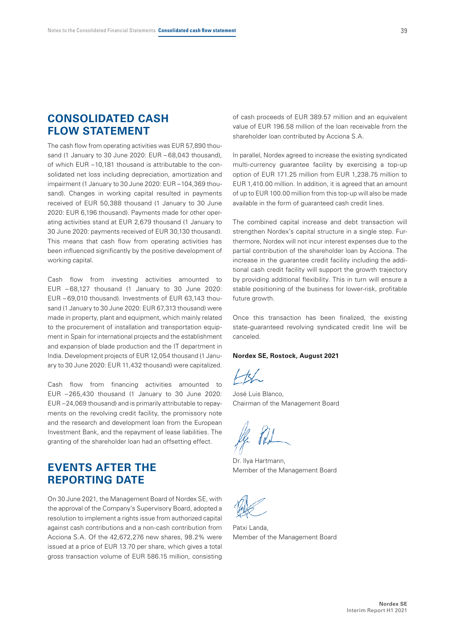# **CONSOLIDATED CASH FLOW STATEMENT**

The cash flow from operating activities was EUR 57,890 thousand (1 January to 30 June 2020: EUR – 68,043 thousand), of which EUR –10,181 thousand is attributable to the consolidated net loss including depreciation, amortization and impairment (1 January to 30 June 2020: EUR –104,369 thousand). Changes in working capital resulted in payments received of EUR 50,388 thousand (1 January to 30 June 2020: EUR 6,196 thousand). Payments made for other operating activities stand at EUR 2,679 thousand (1 January to 30 June 2020: payments received of EUR 30,130 thousand). This means that cash flow from operating activities has been influenced significantly by the positive development of working capital.

Cash flow from investing activities amounted to EUR – 68,127 thousand (1 January to 30 June 2020: EUR – 69,010 thousand). Investments of EUR 63,143 thousand (1 January to 30 June 2020: EUR 67,313 thousand) were made in property, plant and equipment, which mainly related to the procurement of installation and transportation equipment in Spain for international projects and the establishment and expansion of blade production and the IT department in India. Development projects of EUR 12,054 thousand (1 January to 30 June 2020: EUR 11,432 thousand) were capitalized.

Cash flow from financing activities amounted to EUR –265,430 thousand (1 January to 30 June 2020: EUR –24,069 thousand) and is primarily attributable to repayments on the revolving credit facility, the promissory note and the research and development loan from the European Investment Bank, and the repayment of lease liabilities. The granting of the shareholder loan had an offsetting effect.

# **EVENTS AFTER THE REPORTING DATE**

On 30 June 2021, the Management Board of Nordex SE, with the approval of the Company's Supervisory Board, adopted a resolution to implement a rights issue from authorized capital against cash contributions and a non-cash contribution from Acciona S.A. Of the 42,672,276 new shares, 98.2% were issued at a price of EUR 13.70 per share, which gives a total gross transaction volume of EUR 586.15 million, consisting of cash proceeds of EUR 389.57 million and an equivalent value of EUR 196.58 million of the loan receivable from the shareholder loan contributed by Acciona S.A.

In parallel, Nordex agreed to increase the existing syndicated multi-currency guarantee facility by exercising a top-up option of EUR 171.25 million from EUR 1,238.75 million to EUR 1,410.00 million. In addition, it is agreed that an amount of up to EUR 100.00 million from this top-up will also be made available in the form of guaranteed cash credit lines.

The combined capital increase and debt transaction will strengthen Nordex's capital structure in a single step. Furthermore, Nordex will not incur interest expenses due to the partial contribution of the shareholder loan by Acciona. The increase in the guarantee credit facility including the additional cash credit facility will support the growth trajectory by providing additional flexibility. This in turn will ensure a stable positioning of the business for lower-risk, profitable future growth

Once this transaction has been finalized, the existing state-guaranteed revolving syndicated credit line will be canceled.

#### **Nordex SE, Rostock, August 2021**

José Luis Blanco, Chairman of the Management Board

Dr. Ilya Hartmann, Member of the Management Board

Patxi Landa, Member of the Management Board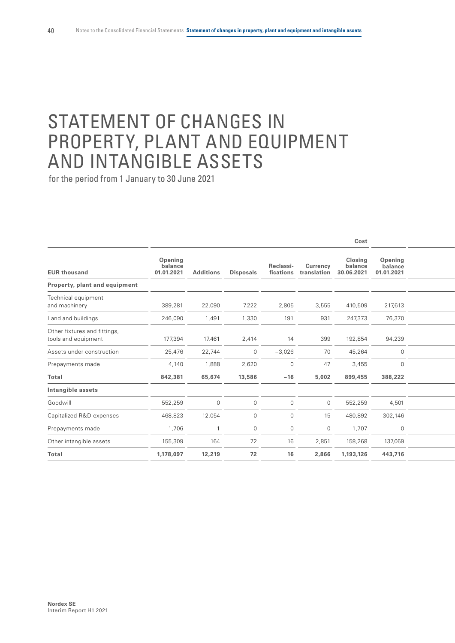# STATEMENT OF CHANGES IN PROPERTY, PLANT AND EQUIPMENT AND INTANGIBLE ASSETS

|                                                     |                                  |                  |                  |                        |                         | Cost                             |                                  |  |
|-----------------------------------------------------|----------------------------------|------------------|------------------|------------------------|-------------------------|----------------------------------|----------------------------------|--|
| <b>EUR thousand</b>                                 | Opening<br>balance<br>01.01.2021 | <b>Additions</b> | <b>Disposals</b> | Reclassi-<br>fications | Currency<br>translation | Closing<br>balance<br>30.06.2021 | Opening<br>balance<br>01.01.2021 |  |
| Property, plant and equipment                       |                                  |                  |                  |                        |                         |                                  |                                  |  |
| Technical equipment<br>and machinery                | 389,281                          | 22,090           | 7,222            | 2,805                  | 3,555                   | 410,509                          | 217,613                          |  |
| Land and buildings                                  | 246,090                          | 1,491            | 1,330            | 191                    | 931                     | 247,373                          | 76,370                           |  |
| Other fixtures and fittings,<br>tools and equipment | 177,394                          | 17,461           | 2,414            | 14                     | 399                     | 192,854                          | 94,239                           |  |
| Assets under construction                           | 25,476                           | 22,744           | $\overline{0}$   | $-3,026$               | 70                      | 45,264                           | $\mathbf 0$                      |  |
| Prepayments made                                    | 4,140                            | 1,888            | 2,620            | 0                      | 47                      | 3,455                            | $\mathbf 0$                      |  |
| Total                                               | 842,381                          | 65,674           | 13,586           | $-16$                  | 5,002                   | 899,455                          | 388,222                          |  |
| Intangible assets                                   |                                  |                  |                  |                        |                         |                                  |                                  |  |
| Goodwill                                            | 552,259                          | $\mathbf 0$      | $\overline{0}$   | $\mathbf 0$            | $\mathbf 0$             | 552,259                          | 4,501                            |  |
| Capitalized R&D expenses                            | 468,823                          | 12,054           | $\mathbf 0$      | 0                      | 15                      | 480,892                          | 302,146                          |  |
| Prepayments made                                    | 1,706                            |                  | $\overline{0}$   | $\overline{0}$         | $\mathbf 0$             | 1,707                            | $\mathbf 0$                      |  |
| Other intangible assets                             | 155,309                          | 164              | 72               | 16                     | 2,851                   | 158,268                          | 137,069                          |  |
| Total                                               | 1,178,097                        | 12,219           | 72               | 16                     | 2,866                   | 1,193,126                        | 443,716                          |  |
|                                                     |                                  |                  |                  |                        |                         |                                  |                                  |  |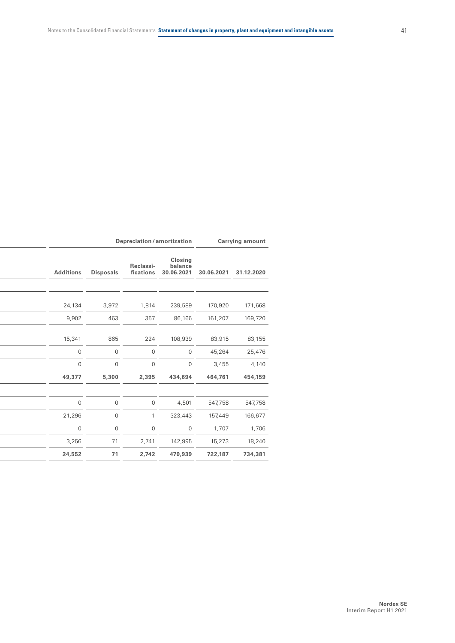|                  |  | Depreciation/amortization<br><b>Carrying amount</b> |                        |                                         |            |            |  |
|------------------|--|-----------------------------------------------------|------------------------|-----------------------------------------|------------|------------|--|
| <b>Additions</b> |  | <b>Disposals</b>                                    | Reclassi-<br>fications | <b>Closing</b><br>balance<br>30.06.2021 | 30.06.2021 | 31.12.2020 |  |
|                  |  |                                                     |                        |                                         |            |            |  |
| 24,134           |  | 3,972                                               | 1,814                  | 239,589                                 | 170,920    | 171,668    |  |
| 9,902            |  | 463                                                 | 357                    | 86,166                                  | 161,207    | 169,720    |  |
| 15,341           |  | 865                                                 | 224                    | 108,939                                 | 83,915     | 83,155     |  |
| $\mathbb O$      |  | $\overline{0}$                                      | $\overline{0}$         | $\overline{0}$                          | 45,264     | 25,476     |  |
| $\overline{0}$   |  | $\mathbf 0$                                         | $\overline{0}$         | $\overline{0}$                          | 3,455      | 4,140      |  |
| 49,377           |  | 5,300                                               | 2,395                  | 434,694                                 | 464,761    | 454,159    |  |
|                  |  |                                                     |                        |                                         |            |            |  |
| $\mathbf 0$      |  | $\mathbf 0$                                         | $\overline{0}$         | 4,501                                   | 547,758    | 547,758    |  |
| 21,296           |  | $\mathbf 0$                                         |                        | 323,443                                 | 157,449    | 166,677    |  |
| $\mathbf 0$      |  | $\mathsf{O}$                                        | $\overline{0}$         | $\overline{0}$                          | 1,707      | 1,706      |  |
| 3,256            |  | 71                                                  | 2,741                  | 142,995                                 | 15,273     | 18,240     |  |
| 24,552           |  | 71                                                  | 2,742                  | 470,939                                 | 722,187    | 734,381    |  |
|                  |  |                                                     |                        |                                         |            |            |  |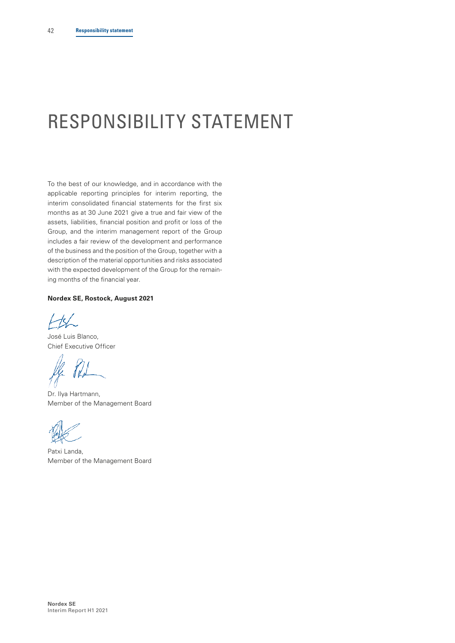# <span id="page-43-0"></span>RESPONSIBILITY STATEMENT

To the best of our knowledge, and in accordance with the applicable reporting principles for interim reporting, the interim consolidated financial statements for the first six months as at 30 June 2021 give a true and fair view of the assets, liabilities, financial position and profit or loss of the Group, and the interim management report of the Group includes a fair review of the development and performance of the business and the position of the Group, together with a description of the material opportunities and risks associated with the expected development of the Group for the remaining months of the financial year.

## **Nordex SE, Rostock, August 2021**

 $H$ 

José Luis Blanco, Chief Executive Officer

Dr. Ilya Hartmann, Member of the Management Board

Patxi Landa, Member of the Management Board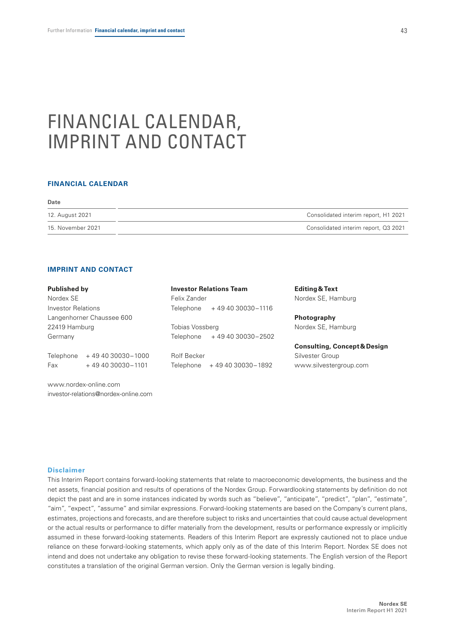# <span id="page-44-0"></span>FINANCIAL CALENDAR, IMPRINT AND CONTACT

## **FINANCIAL CALENDAR**

| <b>Date</b>       |                                      |
|-------------------|--------------------------------------|
| 12. August 2021   | Consolidated interim report, H1 2021 |
| 15. November 2021 | Consolidated interim report, Q3 2021 |

#### **IMPRINT AND CONTACT**

| Published by              |                                      |                    | <b>Investor Relations Team</b> | Editing & Text                          |  |  |
|---------------------------|--------------------------------------|--------------------|--------------------------------|-----------------------------------------|--|--|
| Nordex SE                 |                                      | Felix Zander       |                                | Nordex SE, Hamburg                      |  |  |
| <b>Investor Relations</b> |                                      | Telephone          | +49 40 30030 - 1116            |                                         |  |  |
|                           | Langenhorner Chaussee 600            |                    |                                | Photography                             |  |  |
| 22419 Hamburg             |                                      | Tobias Vossberg    |                                | Nordex SE, Hamburg                      |  |  |
| Germany                   |                                      | Telephone          | +49 40 30030-2502              |                                         |  |  |
|                           |                                      |                    |                                | <b>Consulting, Concept &amp; Design</b> |  |  |
| Telephone                 | +49 40 30030 - 1000                  | <b>Rolf Becker</b> |                                | Silvester Group                         |  |  |
| Fax                       | +49 40 30030 - 1101                  |                    | Telephone +49 40 30030-1892    | www.silvestergroup.com                  |  |  |
|                           | www.nordex-online.com                |                    |                                |                                         |  |  |
|                           | investor-relations@nordex-online.com |                    |                                |                                         |  |  |

## **Disclaimer**

This Interim Report contains forward-looking statements that relate to macroeconomic developments, the business and the net assets, financial position and results of operations of the Nordex Group. Forwardlooking statements by definition do not depict the past and are in some instances indicated by words such as "believe", "anticipate", "predict", "plan", "estimate", "aim", "expect", "assume" and similar expressions. Forward-looking statements are based on the Company's current plans, estimates, projections and forecasts, and are therefore subject to risks and uncertainties that could cause actual development or the actual results or performance to differ materially from the development, results or performance expressly or implicitly assumed in these forward-looking statements. Readers of this Interim Report are expressly cautioned not to place undue reliance on these forward-looking statements, which apply only as of the date of this Interim Report. Nordex SE does not intend and does not undertake any obligation to revise these forward-looking statements. The English version of the Report constitutes a translation of the original German version. Only the German version is legally binding.